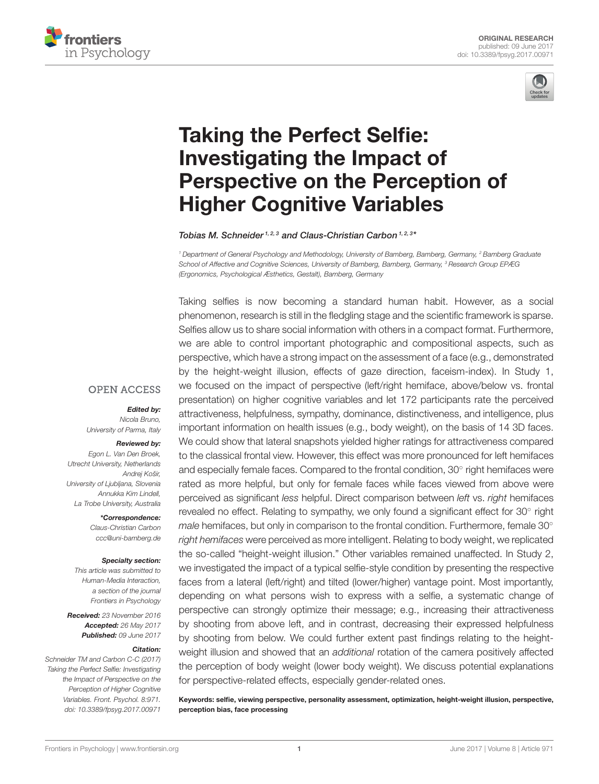



# Taking the Perfect Selfie: Investigating the Impact of [Perspective on the Perception of](http://journal.frontiersin.org/article/10.3389/fpsyg.2017.00971/abstract) Higher Cognitive Variables

[Tobias M. Schneider](http://loop.frontiersin.org/people/358649/overview)<sup>1, 2, 3</sup> and [Claus-Christian Carbon](http://loop.frontiersin.org/people/39287/overview)<sup>1, 2, 3\*</sup>

<sup>1</sup> Department of General Psychology and Methodology, University of Bamberg, Bamberg, Germany, <sup>2</sup> Bamberg Graduate School of Affective and Cognitive Sciences, University of Bamberg, Bamberg, Germany, <sup>3</sup> Research Group EPÆG (Ergonomics, Psychological Æsthetics, Gestalt), Bamberg, Germany

Taking selfies is now becoming a standard human habit. However, as a social phenomenon, research is still in the fledgling stage and the scientific framework is sparse. Selfies allow us to share social information with others in a compact format. Furthermore, we are able to control important photographic and compositional aspects, such as perspective, which have a strong impact on the assessment of a face (e.g., demonstrated by the height-weight illusion, effects of gaze direction, faceism-index). In Study 1, we focused on the impact of perspective (left/right hemiface, above/below vs. frontal presentation) on higher cognitive variables and let 172 participants rate the perceived attractiveness, helpfulness, sympathy, dominance, distinctiveness, and intelligence, plus important information on health issues (e.g., body weight), on the basis of 14 3D faces. We could show that lateral snapshots yielded higher ratings for attractiveness compared to the classical frontal view. However, this effect was more pronounced for left hemifaces and especially female faces. Compared to the frontal condition, 30° right hemifaces were rated as more helpful, but only for female faces while faces viewed from above were perceived as significant less helpful. Direct comparison between left vs. right hemifaces revealed no effect. Relating to sympathy, we only found a significant effect for 30° right male hemifaces, but only in comparison to the frontal condition. Furthermore, female 30° right hemifaces were perceived as more intelligent. Relating to body weight, we replicated the so-called "height-weight illusion." Other variables remained unaffected. In Study 2, we investigated the impact of a typical selfie-style condition by presenting the respective faces from a lateral (left/right) and tilted (lower/higher) vantage point. Most importantly, depending on what persons wish to express with a selfie, a systematic change of perspective can strongly optimize their message; e.g., increasing their attractiveness by shooting from above left, and in contrast, decreasing their expressed helpfulness by shooting from below. We could further extent past findings relating to the heightweight illusion and showed that an additional rotation of the camera positively affected the perception of body weight (lower body weight). We discuss potential explanations for perspective-related effects, especially gender-related ones.

Keywords: selfie, viewing perspective, personality assessment, optimization, height-weight illusion, perspective, perception bias, face processing

### **OPEN ACCESS**

Edited by:

Nicola Bruno, University of Parma, Italy

#### Reviewed by:

Egon L. Van Den Broek, Utrecht University, Netherlands Andrej Košir, University of Ljubljana, Slovenia Annukka Kim Lindell, La Trobe University, Australia

> \*Correspondence: Claus-Christian Carbon [ccc@uni-bamberg.de](mailto:ccc@uni-bamberg.de)

#### Specialty section:

This article was submitted to Human-Media Interaction, a section of the journal Frontiers in Psychology

Received: 23 November 2016 Accepted: 26 May 2017 Published: 09 June 2017

#### Citation:

Schneider TM and Carbon C-C (2017) Taking the Perfect Selfie: Investigating the Impact of Perspective on the Perception of Higher Cognitive Variables. Front. Psychol. 8:971. doi: [10.3389/fpsyg.2017.00971](https://doi.org/10.3389/fpsyg.2017.00971)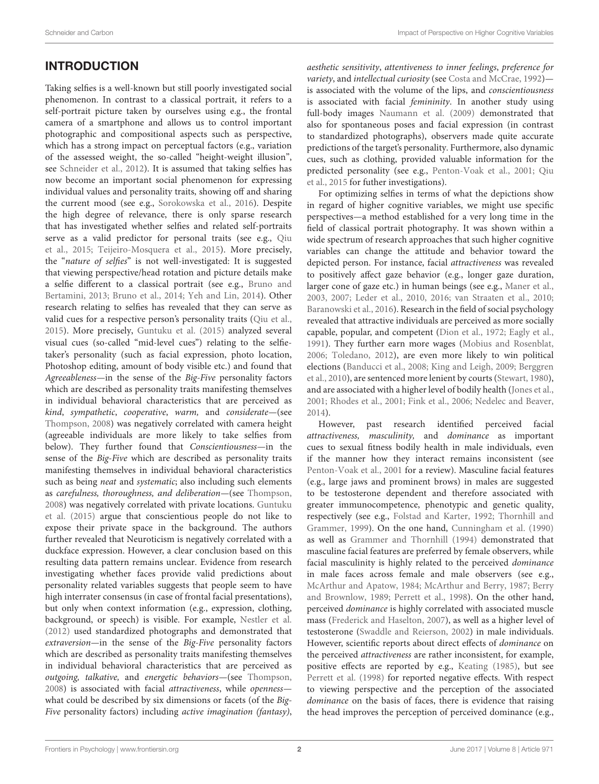# INTRODUCTION

Taking selfies is a well-known but still poorly investigated social phenomenon. In contrast to a classical portrait, it refers to a self-portrait picture taken by ourselves using e.g., the frontal camera of a smartphone and allows us to control important photographic and compositional aspects such as perspective, which has a strong impact on perceptual factors (e.g., variation of the assessed weight, the so-called "height-weight illusion", see [Schneider et al., 2012\)](#page-14-0). It is assumed that taking selfies has now become an important social phenomenon for expressing individual values and personality traits, showing off and sharing the current mood (see e.g., [Sorokowska et al., 2016\)](#page-14-1). Despite the high degree of relevance, there is only sparse research that has investigated whether selfies and related self-portraits serve as a valid predictor for personal traits (see e.g., Qiu et al., [2015;](#page-14-2) [Teijeiro-Mosquera et al., 2015\)](#page-15-0). More precisely, the "nature of selfies" is not well-investigated: It is suggested that viewing perspective/head rotation and picture details make a selfie different to a classical portrait (see e.g., Bruno and Bertamini, [2013;](#page-12-0) [Bruno et al., 2014;](#page-12-1) [Yeh and Lin, 2014\)](#page-15-1). Other research relating to selfies has revealed that they can serve as valid cues for a respective person's personality traits [\(Qiu et al.,](#page-14-2) [2015\)](#page-14-2). More precisely, [Guntuku et al. \(2015\)](#page-13-0) analyzed several visual cues (so-called "mid-level cues") relating to the selfietaker's personality (such as facial expression, photo location, Photoshop editing, amount of body visible etc.) and found that Agreeableness—in the sense of the Big-Five personality factors which are described as personality traits manifesting themselves in individual behavioral characteristics that are perceived as kind, sympathetic, cooperative, warm, and considerate—(see [Thompson, 2008\)](#page-15-2) was negatively correlated with camera height (agreeable individuals are more likely to take selfies from below). They further found that Conscientiousness—in the sense of the Big-Five which are described as personality traits manifesting themselves in individual behavioral characteristics such as being neat and systematic; also including such elements as carefulness, thoroughness, and deliberation—(see [Thompson,](#page-15-2) [2008\)](#page-15-2) was negatively correlated with private locations. Guntuku et al. [\(2015\)](#page-13-0) argue that conscientious people do not like to expose their private space in the background. The authors further revealed that Neuroticism is negatively correlated with a duckface expression. However, a clear conclusion based on this resulting data pattern remains unclear. Evidence from research investigating whether faces provide valid predictions about personality related variables suggests that people seem to have high interrater consensus (in case of frontal facial presentations), but only when context information (e.g., expression, clothing, background, or speech) is visible. For example, [Nestler et al.](#page-14-3) [\(2012\)](#page-14-3) used standardized photographs and demonstrated that extraversion—in the sense of the Big-Five personality factors which are described as personality traits manifesting themselves in individual behavioral characteristics that are perceived as outgoing, talkative, and energetic behaviors—(see [Thompson,](#page-15-2) [2008\)](#page-15-2) is associated with facial attractiveness, while openness what could be described by six dimensions or facets (of the Big-Five personality factors) including active imagination (fantasy), aesthetic sensitivity, attentiveness to inner feelings, preference for variety, and intellectual curiosity (see [Costa and McCrae, 1992\)](#page-13-1)is associated with the volume of the lips, and conscientiousness is associated with facial *femininity*. In another study using full-body images [Naumann et al. \(2009\)](#page-14-4) demonstrated that also for spontaneous poses and facial expression (in contrast to standardized photographs), observers made quite accurate predictions of the target's personality. Furthermore, also dynamic cues, such as clothing, provided valuable information for the predicted personality (see e.g., [Penton-Voak et al., 2001;](#page-14-5) Qiu et al., [2015](#page-14-2) for futher investigations).

For optimizing selfies in terms of what the depictions show in regard of higher cognitive variables, we might use specific perspectives—a method established for a very long time in the field of classical portrait photography. It was shown within a wide spectrum of research approaches that such higher cognitive variables can change the attitude and behavior toward the depicted person. For instance, facial attractiveness was revealed to positively affect gaze behavior (e.g., longer gaze duration, larger cone of gaze etc.) in human beings (see e.g., [Maner et al.,](#page-14-6) [2003,](#page-14-6) [2007;](#page-14-7) [Leder et al., 2010,](#page-13-2) [2016;](#page-13-3) [van Straaten et al., 2010;](#page-15-3) [Baranowski et al., 2016\)](#page-12-2). Research in the field of social psychology revealed that attractive individuals are perceived as more socially capable, popular, and competent [\(Dion et al., 1972;](#page-13-4) [Eagly et al.,](#page-13-5) [1991\)](#page-13-5). They further earn more wages [\(Mobius and Rosenblat,](#page-14-8) [2006;](#page-14-8) [Toledano, 2012\)](#page-15-4), are even more likely to win political elections [\(Banducci et al., 2008;](#page-12-3) [King and Leigh, 2009;](#page-13-6) Berggren et al., [2010\)](#page-12-4), are sentenced more lenient by courts [\(Stewart, 1980\)](#page-14-9), and are associated with a higher level of bodily health [\(Jones et al.,](#page-13-7) [2001;](#page-13-7) [Rhodes et al., 2001;](#page-14-10) [Fink et al., 2006;](#page-13-8) [Nedelec and Beaver,](#page-14-11) [2014\)](#page-14-11).

However, past research identified perceived facial attractiveness, masculinity, and dominance as important cues to sexual fitness bodily health in male individuals, even if the manner how they interact remains inconsistent (see [Penton-Voak et al., 2001](#page-14-5) for a review). Masculine facial features (e.g., large jaws and prominent brows) in males are suggested to be testosterone dependent and therefore associated with greater immunocompetence, phenotypic and genetic quality, respectively (see e.g., [Folstad and Karter, 1992;](#page-13-9) Thornhill and Grammer, [1999\)](#page-15-5). On the one hand, [Cunningham et al. \(1990\)](#page-13-10) as well as [Grammer and Thornhill \(1994\)](#page-13-11) demonstrated that masculine facial features are preferred by female observers, while facial masculinity is highly related to the perceived dominance in male faces across female and male observers (see e.g., [McArthur and Apatow, 1984;](#page-14-12) [McArthur and Berry, 1987;](#page-14-13) Berry and Brownlow, [1989;](#page-12-5) [Perrett et al., 1998\)](#page-14-14). On the other hand, perceived dominance is highly correlated with associated muscle mass [\(Frederick and Haselton, 2007\)](#page-13-12), as well as a higher level of testosterone [\(Swaddle and Reierson, 2002\)](#page-14-15) in male individuals. However, scientific reports about direct effects of dominance on the perceived attractiveness are rather inconsistent, for example, positive effects are reported by e.g., [Keating \(1985\)](#page-13-13), but see [Perrett et al. \(1998\)](#page-14-14) for reported negative effects. With respect to viewing perspective and the perception of the associated dominance on the basis of faces, there is evidence that raising the head improves the perception of perceived dominance (e.g.,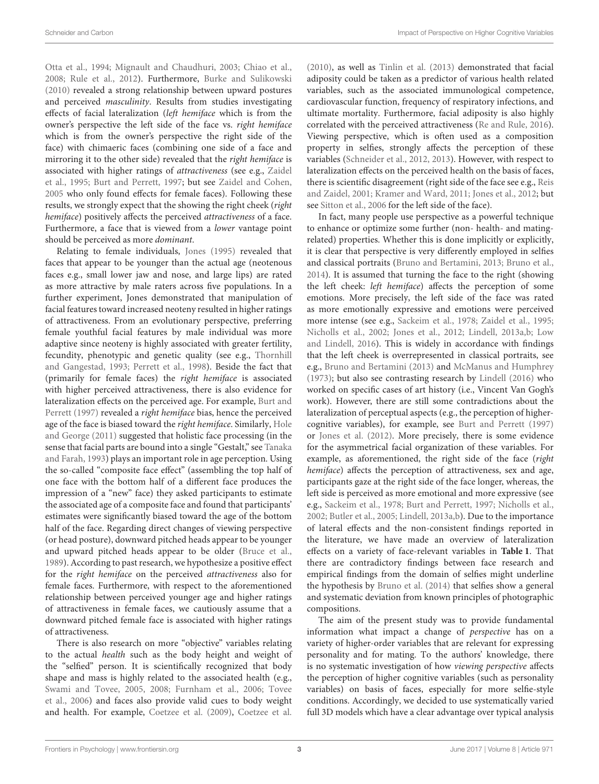[Otta et al., 1994;](#page-14-16) [Mignault and Chaudhuri, 2003;](#page-14-17) [Chiao et al.,](#page-13-14) [2008;](#page-13-14) [Rule et al., 2012\)](#page-14-18). Furthermore, [Burke and Sulikowski](#page-12-6) [\(2010\)](#page-12-6) revealed a strong relationship between upward postures and perceived masculinity. Results from studies investigating effects of facial lateralization (left hemiface which is from the owner's perspective the left side of the face vs. right hemiface which is from the owner's perspective the right side of the face) with chimaeric faces (combining one side of a face and mirroring it to the other side) revealed that the right hemiface is associated with higher ratings of attractiveness (see e.g., Zaidel et al., [1995;](#page-15-6) [Burt and Perrett, 1997;](#page-12-7) but see [Zaidel and Cohen,](#page-15-7) [2005](#page-15-7) who only found effects for female faces). Following these results, we strongly expect that the showing the right cheek (right hemiface) positively affects the perceived attractiveness of a face. Furthermore, a face that is viewed from a lower vantage point should be perceived as more dominant.

Relating to female individuals, [Jones \(1995\)](#page-13-15) revealed that faces that appear to be younger than the actual age (neotenous faces e.g., small lower jaw and nose, and large lips) are rated as more attractive by male raters across five populations. In a further experiment, Jones demonstrated that manipulation of facial features toward increased neoteny resulted in higher ratings of attractiveness. From an evolutionary perspective, preferring female youthful facial features by male individual was more adaptive since neoteny is highly associated with greater fertility, fecundity, phenotypic and genetic quality (see e.g., Thornhill and Gangestad, [1993;](#page-15-8) [Perrett et al., 1998\)](#page-14-14). Beside the fact that (primarily for female faces) the right hemiface is associated with higher perceived attractiveness, there is also evidence for lateralization effects on the perceived age. For example, Burt and Perrett [\(1997\)](#page-12-7) revealed a right hemiface bias, hence the perceived age of the face is biased toward the right hemiface. Similarly, Hole and George [\(2011\)](#page-13-16) suggested that holistic face processing (in the sense that facial parts are bound into a single "Gestalt," see Tanaka and Farah, [1993\)](#page-15-9) plays an important role in age perception. Using the so-called "composite face effect" (assembling the top half of one face with the bottom half of a different face produces the impression of a "new" face) they asked participants to estimate the associated age of a composite face and found that participants' estimates were significantly biased toward the age of the bottom half of the face. Regarding direct changes of viewing perspective (or head posture), downward pitched heads appear to be younger and upward pitched heads appear to be older [\(Bruce et al.,](#page-12-8) [1989\)](#page-12-8). According to past research, we hypothesize a positive effect for the right hemiface on the perceived attractiveness also for female faces. Furthermore, with respect to the aforementioned relationship between perceived younger age and higher ratings of attractiveness in female faces, we cautiously assume that a downward pitched female face is associated with higher ratings of attractiveness.

There is also research on more "objective" variables relating to the actual health such as the body height and weight of the "selfied" person. It is scientifically recognized that body shape and mass is highly related to the associated health (e.g., [Swami and Tovee, 2005,](#page-14-19) [2008;](#page-14-20) [Furnham et al., 2006;](#page-13-17) Tovee et al., [2006\)](#page-15-10) and faces also provide valid cues to body weight and health. For example, [Coetzee et al. \(2009\)](#page-13-18), [Coetzee et al.](#page-13-19) [\(2010\)](#page-13-19), as well as [Tinlin et al. \(2013\)](#page-15-11) demonstrated that facial adiposity could be taken as a predictor of various health related variables, such as the associated immunological competence, cardiovascular function, frequency of respiratory infections, and ultimate mortality. Furthermore, facial adiposity is also highly correlated with the perceived attractiveness [\(Re and Rule, 2016\)](#page-14-21). Viewing perspective, which is often used as a composition property in selfies, strongly affects the perception of these variables [\(Schneider et al., 2012,](#page-14-0) [2013\)](#page-14-22). However, with respect to lateralization effects on the perceived health on the basis of faces, there is scientific disagreement (right side of the face see e.g., Reis and Zaidel, [2001;](#page-14-23) [Kramer and Ward, 2011;](#page-13-20) [Jones et al., 2012;](#page-13-21) but see [Sitton et al., 2006](#page-14-24) for the left side of the face).

In fact, many people use perspective as a powerful technique to enhance or optimize some further (non- health- and matingrelated) properties. Whether this is done implicitly or explicitly, it is clear that perspective is very differently employed in selfies and classical portraits [\(Bruno and Bertamini, 2013;](#page-12-0) [Bruno et al.,](#page-12-1) [2014\)](#page-12-1). It is assumed that turning the face to the right (showing the left cheek: left hemiface) affects the perception of some emotions. More precisely, the left side of the face was rated as more emotionally expressive and emotions were perceived more intense (see e.g., [Sackeim et al., 1978;](#page-14-25) [Zaidel et al., 1995;](#page-15-6) [Nicholls et al., 2002;](#page-14-26) [Jones et al., 2012;](#page-13-21) [Lindell, 2013a,](#page-13-22)[b;](#page-13-23) Low and Lindell, [2016\)](#page-13-24). This is widely in accordance with findings that the left cheek is overrepresented in classical portraits, see e.g., [Bruno and Bertamini \(2013\)](#page-12-0) and [McManus and Humphrey](#page-14-27) [\(1973\)](#page-14-27); but also see contrasting research by [Lindell \(2016\)](#page-13-25) who worked on specific cases of art history (i.e., Vincent Van Gogh's work). However, there are still some contradictions about the lateralization of perceptual aspects (e.g., the perception of highercognitive variables), for example, see [Burt and Perrett \(1997\)](#page-12-7) or [Jones et al. \(2012\)](#page-13-21). More precisely, there is some evidence for the asymmetrical facial organization of these variables. For example, as aforementioned, the right side of the face (right hemiface) affects the perception of attractiveness, sex and age, participants gaze at the right side of the face longer, whereas, the left side is perceived as more emotional and more expressive (see e.g., [Sackeim et al., 1978;](#page-14-25) [Burt and Perrett, 1997;](#page-12-7) [Nicholls et al.,](#page-14-26) [2002;](#page-14-26) [Butler et al., 2005;](#page-12-9) [Lindell, 2013a](#page-13-22)[,b\)](#page-13-23). Due to the importance of lateral effects and the non-consistent findings reported in the literature, we have made an overview of lateralization effects on a variety of face-relevant variables in **[Table 1](#page-3-0)**. That there are contradictory findings between face research and empirical findings from the domain of selfies might underline the hypothesis by [Bruno et al. \(2014\)](#page-12-1) that selfies show a general and systematic deviation from known principles of photographic compositions.

The aim of the present study was to provide fundamental information what impact a change of perspective has on a variety of higher-order variables that are relevant for expressing personality and for mating. To the authors' knowledge, there is no systematic investigation of how viewing perspective affects the perception of higher cognitive variables (such as personality variables) on basis of faces, especially for more selfie-style conditions. Accordingly, we decided to use systematically varied full 3D models which have a clear advantage over typical analysis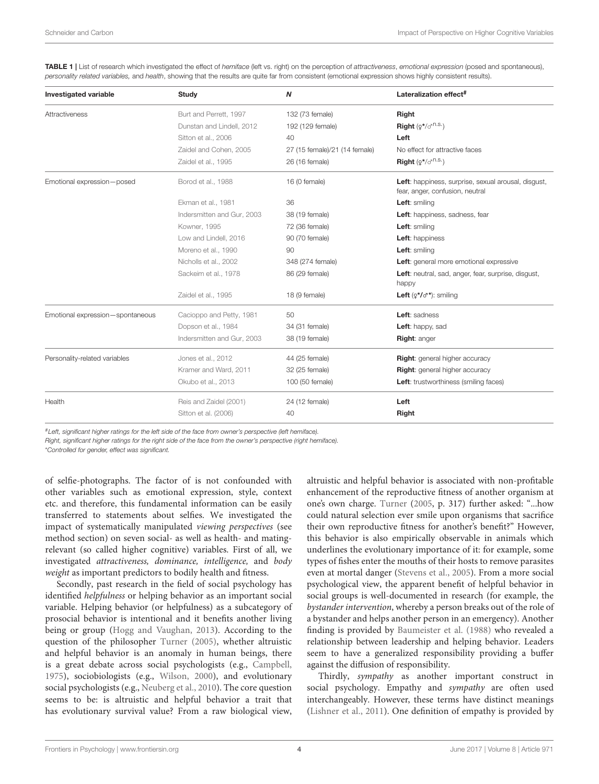<span id="page-3-0"></span>TABLE 1 | List of research which investigated the effect of hemiface (left vs. right) on the perception of attractiveness, emotional expression (posed and spontaneous), personality related variables, and health, showing that the results are quite far from consistent (emotional expression shows highly consistent results).

| <b>Investigated variable</b>     | <b>Study</b>               | N                             | Lateralization effect <sup>#</sup>                                                     |
|----------------------------------|----------------------------|-------------------------------|----------------------------------------------------------------------------------------|
| Attractiveness                   | Burt and Perrett, 1997     | 132 (73 female)               | Right                                                                                  |
|                                  | Dunstan and Lindell, 2012  | 192 (129 female)              | Right $(2^*/\sigma^{n.S.})$                                                            |
|                                  | Sitton et al., 2006        | 40                            | Left                                                                                   |
|                                  | Zaidel and Cohen, 2005     | 27 (15 female)/21 (14 female) | No effect for attractive faces                                                         |
|                                  | Zaidel et al., 1995        | 26 (16 female)                | <b>Right</b> $(2^*/\sigma^{n.S.})$                                                     |
| Emotional expression-posed       | Borod et al., 1988         | 16 (0 female)                 | Left: happiness, surprise, sexual arousal, disgust,<br>fear, anger, confusion, neutral |
|                                  | Ekman et al., 1981         | 36                            | Left: smiling                                                                          |
|                                  | Indersmitten and Gur, 2003 | 38 (19 female)                | Left: happiness, sadness, fear                                                         |
|                                  | Kowner, 1995               | 72 (36 female)                | Left: smiling                                                                          |
|                                  | Low and Lindell, 2016      | 90 (70 female)                | Left: happiness                                                                        |
|                                  | Moreno et al., 1990        | 90                            | Left: smiling                                                                          |
|                                  | Nicholls et al., 2002      | 348 (274 female)              | Left: general more emotional expressive                                                |
|                                  | Sackeim et al., 1978       | 86 (29 female)                | Left: neutral, sad, anger, fear, surprise, disgust,<br>happy                           |
|                                  | Zaidel et al., 1995        | 18 (9 female)                 | Left $(2^*/\sigma^*)$ : smiling                                                        |
| Emotional expression-spontaneous | Cacioppo and Petty, 1981   | 50                            | Left: sadness                                                                          |
|                                  | Dopson et al., 1984        | 34 (31 female)                | Left: happy, sad                                                                       |
|                                  | Indersmitten and Gur, 2003 | 38 (19 female)                | Right: anger                                                                           |
| Personality-related variables    | Jones et al., 2012         | 44 (25 female)                | <b>Right:</b> general higher accuracy                                                  |
|                                  | Kramer and Ward, 2011      | 32 (25 female)                | <b>Right:</b> general higher accuracy                                                  |
|                                  | Okubo et al., 2013         | 100 (50 female)               | Left: trustworthiness (smiling faces)                                                  |
| Health                           | Reis and Zaidel (2001)     | 24 (12 female)                | Left                                                                                   |
|                                  | Sitton et al. (2006)       | 40                            | Right                                                                                  |

#Left, significant higher ratings for the left side of the face from owner's perspective (left hemiface).

Right, significant higher ratings for the right side of the face from the owner's perspective (right hemiface).

\*Controlled for gender, effect was significant.

of selfie-photographs. The factor of is not confounded with other variables such as emotional expression, style, context etc. and therefore, this fundamental information can be easily transferred to statements about selfies. We investigated the impact of systematically manipulated viewing perspectives (see method section) on seven social- as well as health- and matingrelevant (so called higher cognitive) variables. First of all, we investigated attractiveness, dominance, intelligence, and body weight as important predictors to bodily health and fitness.

Secondly, past research in the field of social psychology has identified *helpfulness* or helping behavior as an important social variable. Helping behavior (or helpfulness) as a subcategory of prosocial behavior is intentional and it benefits another living being or group [\(Hogg and Vaughan, 2013\)](#page-13-31). According to the question of the philosopher [Turner \(2005\)](#page-15-12), whether altruistic and helpful behavior is an anomaly in human beings, there is a great debate across social psychologists (e.g., [Campbell,](#page-12-12) [1975\)](#page-12-12), sociobiologists (e.g., [Wilson, 2000\)](#page-15-13), and evolutionary social psychologists (e.g., [Neuberg et al., 2010\)](#page-14-30). The core question seems to be: is altruistic and helpful behavior a trait that has evolutionary survival value? From a raw biological view, altruistic and helpful behavior is associated with non-profitable enhancement of the reproductive fitness of another organism at one's own charge. [Turner](#page-15-12) [\(2005,](#page-15-12) p. 317) further asked: "...how could natural selection ever smile upon organisms that sacrifice their own reproductive fitness for another's benefit?" However, this behavior is also empirically observable in animals which underlines the evolutionary importance of it: for example, some types of fishes enter the mouths of their hosts to remove parasites even at mortal danger [\(Stevens et al., 2005\)](#page-14-31). From a more social psychological view, the apparent benefit of helpful behavior in social groups is well-documented in research (for example, the bystander intervention, whereby a person breaks out of the role of a bystander and helps another person in an emergency). Another finding is provided by [Baumeister et al. \(1988\)](#page-12-13) who revealed a relationship between leadership and helping behavior. Leaders seem to have a generalized responsibility providing a buffer against the diffusion of responsibility.

Thirdly, sympathy as another important construct in social psychology. Empathy and sympathy are often used interchangeably. However, these terms have distinct meanings [\(Lishner et al., 2011\)](#page-13-32). One definition of empathy is provided by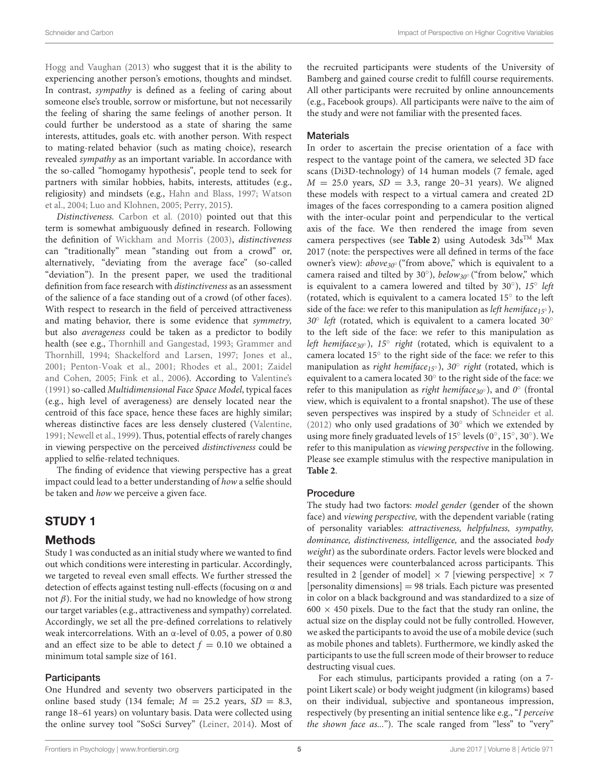[Hogg and Vaughan \(2013\)](#page-13-31) who suggest that it is the ability to experiencing another person's emotions, thoughts and mindset. In contrast, sympathy is defined as a feeling of caring about someone else's trouble, sorrow or misfortune, but not necessarily the feeling of sharing the same feelings of another person. It could further be understood as a state of sharing the same interests, attitudes, goals etc. with another person. With respect to mating-related behavior (such as mating choice), research revealed sympathy as an important variable. In accordance with the so-called "homogamy hypothesis", people tend to seek for partners with similar hobbies, habits, interests, attitudes (e.g., religiosity) and mindsets (e.g., [Hahn and Blass, 1997;](#page-13-33) Watson et al., [2004;](#page-15-14) [Luo and Klohnen, 2005;](#page-14-32) [Perry, 2015\)](#page-14-33).

Distinctiveness. [Carbon et al. \(2010\)](#page-12-14) pointed out that this term is somewhat ambiguously defined in research. Following the definition of [Wickham and Morris \(2003\)](#page-15-15), distinctiveness can "traditionally" mean "standing out from a crowd" or, alternatively, "deviating from the average face" (so-called "deviation"). In the present paper, we used the traditional definition from face research with distinctiveness as an assessment of the salience of a face standing out of a crowd (of other faces). With respect to research in the field of perceived attractiveness and mating behavior, there is some evidence that symmetry, but also averageness could be taken as a predictor to bodily health (see e.g., [Thornhill and Gangestad, 1993;](#page-15-8) Grammer and Thornhill, [1994;](#page-13-11) [Shackelford and Larsen, 1997;](#page-14-34) [Jones et al.,](#page-13-7) [2001;](#page-13-7) [Penton-Voak et al., 2001;](#page-14-5) [Rhodes et al., 2001;](#page-14-10) Zaidel and Cohen, [2005;](#page-15-7) [Fink et al., 2006\)](#page-13-8). According to [Valentine's](#page-15-16) [\(1991\)](#page-15-16) so-called Multidimensional Face Space Model, typical faces (e.g., high level of averageness) are densely located near the centroid of this face space, hence these faces are highly similar; whereas distinctive faces are less densely clustered [\(Valentine,](#page-15-16) [1991;](#page-15-16) [Newell et al., 1999\)](#page-14-35). Thus, potential effects of rarely changes in viewing perspective on the perceived distinctiveness could be applied to selfie-related techniques.

The finding of evidence that viewing perspective has a great impact could lead to a better understanding of how a selfie should be taken and how we perceive a given face.

# STUDY 1

### Methods

Study 1 was conducted as an initial study where we wanted to find out which conditions were interesting in particular. Accordingly, we targeted to reveal even small effects. We further stressed the detection of effects against testing null-effects (focusing on  $\alpha$  and not  $β$ ). For the initial study, we had no knowledge of how strong our target variables (e.g., attractiveness and sympathy) correlated. Accordingly, we set all the pre-defined correlations to relatively weak intercorrelations. With an  $\alpha$ -level of 0.05, a power of 0.80 and an effect size to be able to detect  $f = 0.10$  we obtained a minimum total sample size of 161.

### **Participants**

One Hundred and seventy two observers participated in the online based study (134 female;  $M = 25.2$  years,  $SD = 8.3$ , range 18–61 years) on voluntary basis. Data were collected using the online survey tool "SoSci Survey" [\(Leiner, 2014\)](#page-13-34). Most of the recruited participants were students of the University of Bamberg and gained course credit to fulfill course requirements. All other participants were recruited by online announcements (e.g., Facebook groups). All participants were naïve to the aim of the study and were not familiar with the presented faces.

### **Materials**

In order to ascertain the precise orientation of a face with respect to the vantage point of the camera, we selected 3D face scans (Di3D-technology) of 14 human models (7 female, aged  $M = 25.0$  years,  $SD = 3.3$ , range 20–31 years). We aligned these models with respect to a virtual camera and created 2D images of the faces corresponding to a camera position aligned with the inter-ocular point and perpendicular to the vertical axis of the face. We then rendered the image from seven camera perspectives (see [Table 2](#page-5-0)) using Autodesk 3ds<sup>TM</sup> Max 2017 (note: the perspectives were all defined in terms of the face owner's view):  $above_{30}$ <sup>°</sup> ("from above," which is equivalent to a camera raised and tilted by 30°), below<sub>30°</sub> ("from below," which is equivalent to a camera lowered and tilted by  $30^{\circ}$ ),  $15^{\circ}$  left (rotated, which is equivalent to a camera located 15◦ to the left side of the face: we refer to this manipulation as *left hemiface*<sub>15°</sub>), 30° left (rotated, which is equivalent to a camera located 30° to the left side of the face: we refer to this manipulation as left hemiface<sub>30°</sub>), 15° right (rotated, which is equivalent to a camera located 15° to the right side of the face: we refer to this manipulation as right hemiface<sub>15°</sub>), 30° right (rotated, which is equivalent to a camera located 30° to the right side of the face: we refer to this manipulation as right hemiface<sub>30°</sub>), and  $0^{\circ}$  (frontal view, which is equivalent to a frontal snapshot). The use of these seven perspectives was inspired by a study of [Schneider et al.](#page-14-0) [\(2012\)](#page-14-0) who only used gradations of  $30°$  which we extended by using more finely graduated levels of 15° levels (0°, 15°, 30°). We refer to this manipulation as viewing perspective in the following. Please see example stimulus with the respective manipulation in **[Table 2](#page-5-0)**.

### Procedure

The study had two factors: model gender (gender of the shown face) and viewing perspective, with the dependent variable (rating of personality variables: attractiveness, helpfulness, sympathy, dominance, distinctiveness, intelligence, and the associated body weight) as the subordinate orders. Factor levels were blocked and their sequences were counterbalanced across participants. This resulted in 2 [gender of model]  $\times$  7 [viewing perspective]  $\times$  7 [personality dimensions] = 98 trials. Each picture was presented in color on a black background and was standardized to a size of  $600 \times 450$  pixels. Due to the fact that the study ran online, the actual size on the display could not be fully controlled. However, we asked the participants to avoid the use of a mobile device (such as mobile phones and tablets). Furthermore, we kindly asked the participants to use the full screen mode of their browser to reduce destructing visual cues.

For each stimulus, participants provided a rating (on a 7 point Likert scale) or body weight judgment (in kilograms) based on their individual, subjective and spontaneous impression, respectively (by presenting an initial sentence like e.g., "I perceive the shown face as..."). The scale ranged from "less" to "very"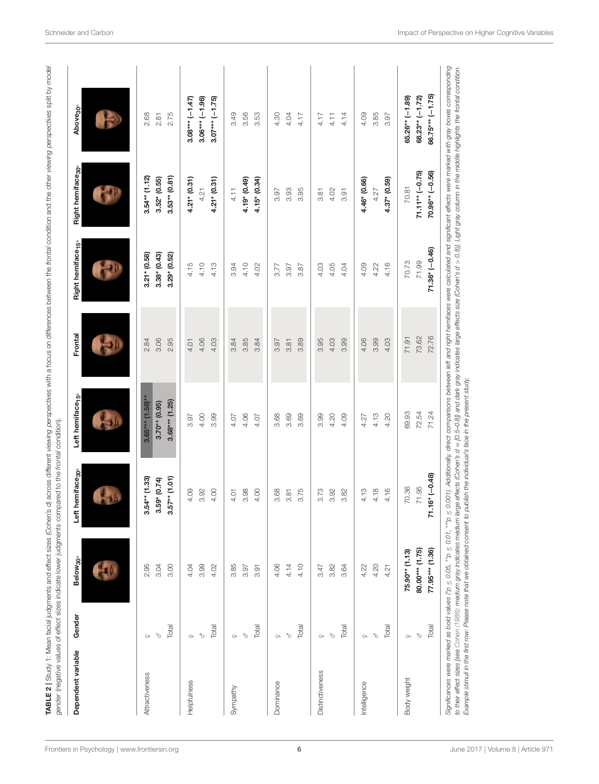| Dependent variable | Gender    | Below <sub>30</sub> | hemiface <sub>30</sub><br>te⊾ | Left hemiface <sub>15</sub> | Frontal | Right hemiface <sub>15</sub> | Right hemiface <sub>30</sub> | Above <sub>30</sub> |
|--------------------|-----------|---------------------|-------------------------------|-----------------------------|---------|------------------------------|------------------------------|---------------------|
|                    |           |                     |                               | $\mathbf{L}$                |         |                              |                              |                     |
| Attractiveness     | $\circ$   | 2.95                | $54**$ (1.33)<br>ო            | $3.65***$ (1.58)**          | 2.84    | $3.21* (0.58)$               | $3.54**$ (1.12)              | 2.68                |
|                    | b,        | 3.04                | $3.59* (0.74)$                | $3.70**$ (0.95)             | 3.06    | $3.38*(0.43)$                | $3.52* (0.55)$               | 2.81                |
|                    | Total     | 3.00                | $(1.01)$ ** $75$<br>ຕ         | $3.68***$ (1.25)            | 2.95    | $3.29*(0.52)$                | $3.53**$ $(0.81)$            | 2.75                |
| Helpfulness        | $\circ$   | 4.04                | 4.09                          | 3.97                        | 4.01    | 4.15                         | $4.21* (0.31)$               | $3.08***(-1.47)$    |
|                    | Õ         | 3.99                | 3.92                          | 4.00                        | 4.06    | 4.10                         | 4.21                         | $3.06*** (-1.96)$   |
|                    | Total     | 4.02                | 4.00                          | 3.99                        | 4.03    | 4.13                         | $4.21* (0.31)$               | $3.07***(-1.75)$    |
| Sympathy           | $\circ$   | 3.85                | 4.01                          | 4.07                        | 3.84    | 3.94                         | 4.11                         | 3.49                |
|                    | Õ         | 3.97                | 3.98                          | 4.06                        | 3.85    | 4.10                         | 4.19* (0.49)                 | 3.56                |
|                    | Total     | 3.91                | 4.00                          | 4.07                        | 3.84    | 4.02                         | $4.15^{*}$ (0.34)            | 3.53                |
| Dominance          | $O+$      | 4.06                | 3.68                          | 3.68                        | 3.97    | 3.77                         | 3.97                         | 4.30                |
|                    | ď         | 4.14                | 3.81                          | 3.69                        | 3.81    | 3.97                         | 3.93                         | 4.04                |
|                    | Total     | 4.10                | 3.75                          | 3.69                        | 3.89    | 3.87                         | 3.95                         | 4.17                |
| Distinctiveness    | $\circ$ + | 3.47                | 3.73                          | 3.99                        | 3.95    | 4.03                         | 3.81                         | 4.17                |
|                    | Ò         | 3.82                | 3.92                          | 4.20                        | 4.03    | 4.05                         | 4.02                         | 4.11                |
|                    | Total     | 3.64                | 3.82                          | 4.09                        | 3.99    | 4.04                         | 3.91                         | 4.14                |
| Intelligence       | $\circ$   | 4.22                | 4.13                          | 4.27                        | 4.06    | 4.09                         | 4.46* (0.66)                 | 4.09                |
|                    | b,        | 4.20                | 4.18                          | 4.13                        | 3.99    | 4.22                         | 4.27                         | 3.85                |
|                    | Total     | 4.21                | 4.16                          | 4.20                        | 4.03    | 4.16                         | $4.37* (0.59)$               | 3.97                |
| Body weight        | $\circ$   | 75.90** (1.13)      | 70.36                         | 69.93                       | 71.91   | 70.73                        | 70.81                        | $65.26**$ (-1.89)   |
|                    | $\delta$  | 80.00*** (1.75)     | 71.95                         | 72.54                       | 73.62   | 71.99                        | $71.11**(-0.75)$             | $68.23** (-1.72)$   |
|                    | Total     | 77.95*** (1.36)     | $.16*(-0.48)$<br>r,           | 71.24                       | 72.76   | $71.36* (-0.46)$             | $70.96**(-0.56)$             | $66.75*** (-1.75)$  |

<span id="page-5-0"></span>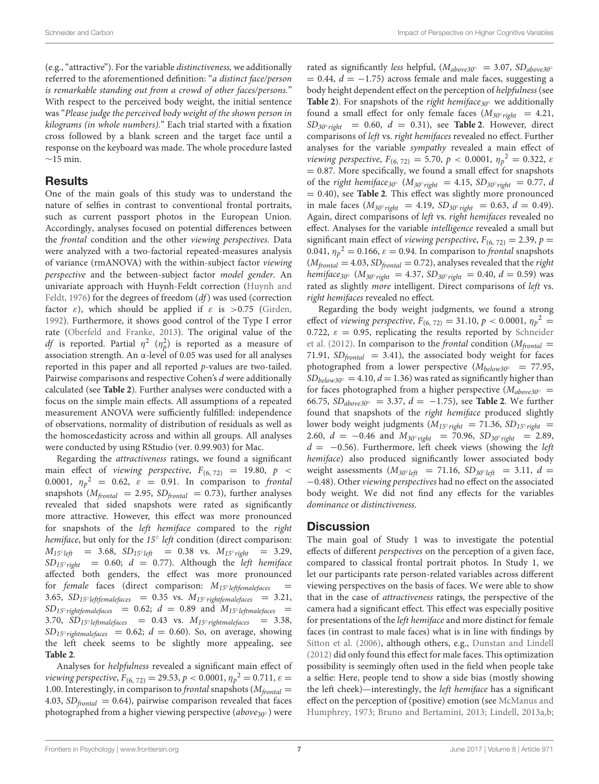(e.g., "attractive"). For the variable distinctiveness, we additionally referred to the aforementioned definition: "a distinct face/person is remarkable standing out from a crowd of other faces/persons." With respect to the perceived body weight, the initial sentence was "Please judge the perceived body weight of the shown person in kilograms (in whole numbers)." Each trial started with a fixation cross followed by a blank screen and the target face until a response on the keyboard was made. The whole procedure lasted  $∼15$  min.

### Results

One of the main goals of this study was to understand the nature of selfies in contrast to conventional frontal portraits, such as current passport photos in the European Union. Accordingly, analyses focused on potential differences between the frontal condition and the other viewing perspectives. Data were analyzed with a two-factorial repeated-measures analysis of variance (rmANOVA) with the within-subject factor viewing perspective and the between-subject factor model gender. An univariate approach with Huynh-Feldt correction (Huynh and Feldt, [1976\)](#page-13-36) for the degrees of freedom (df) was used (correction factor  $\varepsilon$ ), which should be applied if  $\varepsilon$  is  $>0.75$  [\(Girden,](#page-13-37) [1992\)](#page-13-37). Furthermore, it shows good control of the Type I error rate [\(Oberfeld and Franke, 2013\)](#page-14-36). The original value of the *df* is reported. Partial  $\eta^2$  ( $\eta^2$ ) is reported as a measure of association strength. An α-level of 0.05 was used for all analyses reported in this paper and all reported p-values are two-tailed. Pairwise comparisons and respective Cohen's d were additionally calculated (see **[Table 2](#page-5-0)**). Further analyses were conducted with a focus on the simple main effects. All assumptions of a repeated measurement ANOVA were sufficiently fulfilled: independence of observations, normality of distribution of residuals as well as the homoscedasticity across and within all groups. All analyses were conducted by using RStudio (ver. 0.99.903) for Mac.

Regarding the attractiveness ratings, we found a significant main effect of viewing perspective,  $F_{(6, 72)} = 19.80, p <$ 0.0001,  $\eta_p^2 = 0.62$ ,  $\varepsilon = 0.91$ . In comparison to frontal snapshots ( $M_{frontal}$  = 2.95,  $SD_{frontal}$  = 0.73), further analyses revealed that sided snapshots were rated as significantly more attractive. However, this effect was more pronounced for snapshots of the left hemiface compared to the right hemiface, but only for the 15° left condition (direct comparison:  $M_{15°}$  left = 3.68,  $SD_{15°}$  left = 0.38 vs.  $M_{15°}$  right = 3.29,  $SD_{15°\text{ right}}$  = 0.60;  $d$  = 0.77). Although the left hemiface affected both genders, the effect was more pronounced for female faces (direct comparison:  $M_{15} \textdegree$  leftfemalefaces  $=$ 3.65,  $SD_{15}$ ° leftfemalefaces = 0.35 vs.  $M_{15}$ ° rightfemalefaces = 3.21,  $SD_{15°\ right females}$  = 0.62;  $d = 0.89$  and  $M_{15°\ left malefaces}$  = 3.70,  $SD_{15} \text{·left}$  leftmalefaces = 0.43 vs.  $M_{15} \text{·right}$  rightmalefaces = 3.38,  $SD_{15°\ right male faces}$  = 0.62;  $d = 0.60$ ). So, on average, showing the left cheek seems to be slightly more appealing, see **[Table 2](#page-5-0)**.

Analyses for helpfulness revealed a significant main effect of viewing perspective,  $F_{(6, 72)} = 29.53$ ,  $p < 0.0001$ ,  $\eta_p^2 = 0.711$ ,  $\varepsilon =$ 1.00. Interestingly, in comparison to *frontal* snapshots ( $M_{frontal}$  = 4.03,  $SD_{frontal} = 0.64$ ), pairwise comparison revealed that faces photographed from a higher viewing perspective (above<sub>30</sub>∘) were rated as significantly less helpful, ( $M_{above30°}$  = 3.07, SD<sub>above30</sub>°  $= 0.44$ ,  $d = -1.75$ ) across female and male faces, suggesting a body height dependent effect on the perception of helpfulness (see **[Table 2](#page-5-0)**). For snapshots of the *right hemiface*<sub>30</sub> $\circ$  we additionally found a small effect for only female faces  $(M_{30°\,right} = 4.21,$  $SD<sub>30° right</sub> = 0.60, d = 0.31$ , see **[Table 2](#page-5-0)**. However, direct comparisons of left vs. right hemifaces revealed no effect. Further analyses for the variable sympathy revealed a main effect of viewing perspective,  $F_{(6, 72)} = 5.70, p < 0.0001, \eta_p^2 = 0.322, \varepsilon$ = 0.87. More specifically, we found a small effect for snapshots of the right hemiface<sub>30</sub>° ( $M_{30°\, right} = 4.15$ ,  $SD_{30°\, right} = 0.77$ , d = 0.40), see **[Table 2](#page-5-0)**. This effect was slightly more pronounced in male faces ( $M_{30°\text{right}} = 4.19$ ,  $SD_{30°\text{right}} = 0.63$ ,  $d = 0.49$ ). Again, direct comparisons of left vs. right hemifaces revealed no effect. Analyses for the variable intelligence revealed a small but significant main effect of *viewing perspective*,  $F_{(6, 72)} = 2.39$ ,  $p =$ 0.041,  $\eta_p^2 = 0.166$ ,  $\varepsilon = 0.94$ . In comparison to *frontal* snapshots  $(M_{frontal} = 4.03, SD_{frontal} = 0.72)$ , analyses revealed that the *right hemiface*<sub>30</sub>° ( $M_{30°\,right} = 4.37$ ,  $SD_{30°\,right} = 0.40$ ,  $d = 0.59$ ) was rated as slightly more intelligent. Direct comparisons of left vs. right hemifaces revealed no effect.

Regarding the body weight judgments, we found a strong effect of viewing perspective,  $F_{(6, 72)} = 31.10, p < 0.0001, \eta_p^2 =$ 0.722,  $\varepsilon = 0.95$ , replicating the results reported by Schneider et al. [\(2012\)](#page-14-0). In comparison to the *frontal* condition ( $M_{frontal}$  = 71.91,  $SD_{frontal}$  = 3.41), the associated body weight for faces photographed from a lower perspective ( $M_{below30°}$  = 77.95,  $SD_{below 30°} = 4.10, d = 1.36$ ) was rated as significantly higher than for faces photographed from a higher perspective ( $M_{above30°}$  = 66.75,  $SD_{above30°}$  = 3.37, *d* = −1.75), see **[Table 2](#page-5-0)**. We further found that snapshots of the right hemiface produced slightly lower body weight judgments ( $M_{15\degree\text{right}}$  = 71.36,  $SD_{15\degree\text{right}}$  = 2.60,  $d = -0.46$  and  $M_{30°\text{right}} = 70.96$ ,  $SD_{30°\text{right}} = 2.89$ ,  $d = -0.56$ ). Furthermore, left cheek views (showing the left hemiface) also produced significantly lower associated body weight assessments  $(M_{30°left} = 71.16, SD_{30°left} = 3.11, d =$ −0.48). Other viewing perspectives had no effect on the associated body weight. We did not find any effects for the variables dominance or distinctiveness.

### **Discussion**

The main goal of Study 1 was to investigate the potential effects of different perspectives on the perception of a given face, compared to classical frontal portrait photos. In Study 1, we let our participants rate person-related variables across different viewing perspectives on the basis of faces. We were able to show that in the case of attractiveness ratings, the perspective of the camera had a significant effect. This effect was especially positive for presentations of the left hemiface and more distinct for female faces (in contrast to male faces) what is in line with findings by [Sitton et al. \(2006\)](#page-14-24), although others, e.g., [Dunstan and Lindell](#page-13-26) [\(2012\)](#page-13-26) did only found this effect for male faces. This optimization possibility is seemingly often used in the field when people take a selfie: Here, people tend to show a side bias (mostly showing the left cheek)—interestingly, the left hemiface has a significant effect on the perception of (positive) emotion (see McManus and Humphrey, [1973;](#page-14-27) [Bruno and Bertamini, 2013;](#page-12-0) [Lindell, 2013a](#page-13-22)[,b;](#page-13-23)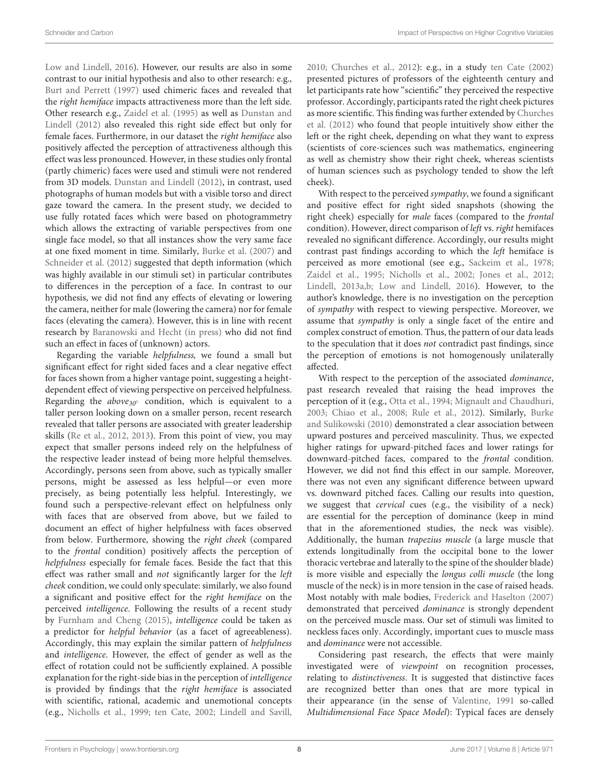[Low and Lindell, 2016\)](#page-13-24). However, our results are also in some contrast to our initial hypothesis and also to other research: e.g., [Burt and Perrett \(1997\)](#page-12-7) used chimeric faces and revealed that the right hemiface impacts attractiveness more than the left side. Other research e.g., [Zaidel et al. \(1995\)](#page-15-6) as well as Dunstan and Lindell [\(2012\)](#page-13-26) also revealed this right side effect but only for female faces. Furthermore, in our dataset the right hemiface also positively affected the perception of attractiveness although this effect was less pronounced. However, in these studies only frontal (partly chimeric) faces were used and stimuli were not rendered from 3D models. [Dunstan and Lindell \(2012\)](#page-13-26), in contrast, used photographs of human models but with a visible torso and direct gaze toward the camera. In the present study, we decided to use fully rotated faces which were based on photogrammetry which allows the extracting of variable perspectives from one single face model, so that all instances show the very same face at one fixed moment in time. Similarly, [Burke et al. \(2007\)](#page-12-15) and [Schneider et al. \(2012\)](#page-14-0) suggested that depth information (which was highly available in our stimuli set) in particular contributes to differences in the perception of a face. In contrast to our hypothesis, we did not find any effects of elevating or lowering the camera, neither for male (lowering the camera) nor for female faces (elevating the camera). However, this is in line with recent research by [Baranowski and Hecht \(in press\)](#page-12-16) who did not find such an effect in faces of (unknown) actors.

Regarding the variable helpfulness, we found a small but significant effect for right sided faces and a clear negative effect for faces shown from a higher vantage point, suggesting a heightdependent effect of viewing perspective on perceived helpfulness. Regarding the  $above_{30°}$  condition, which is equivalent to a taller person looking down on a smaller person, recent research revealed that taller persons are associated with greater leadership skills [\(Re et al., 2012,](#page-14-37) [2013\)](#page-14-38). From this point of view, you may expect that smaller persons indeed rely on the helpfulness of the respective leader instead of being more helpful themselves. Accordingly, persons seen from above, such as typically smaller persons, might be assessed as less helpful—or even more precisely, as being potentially less helpful. Interestingly, we found such a perspective-relevant effect on helpfulness only with faces that are observed from above, but we failed to document an effect of higher helpfulness with faces observed from below. Furthermore, showing the right cheek (compared to the frontal condition) positively affects the perception of helpfulness especially for female faces. Beside the fact that this effect was rather small and not significantly larger for the left cheek condition, we could only speculate: similarly, we also found a significant and positive effect for the right hemiface on the perceived intelligence. Following the results of a recent study by [Furnham and Cheng \(2015\)](#page-13-38), intelligence could be taken as a predictor for helpful behavior (as a facet of agreeableness). Accordingly, this may explain the similar pattern of helpfulness and intelligence. However, the effect of gender as well as the effect of rotation could not be sufficiently explained. A possible explanation for the right-side bias in the perception of intelligence is provided by findings that the right hemiface is associated with scientific, rational, academic and unemotional concepts (e.g., [Nicholls et al., 1999;](#page-14-39) [ten Cate, 2002;](#page-15-17) [Lindell and Savill,](#page-13-39)

[2010;](#page-13-39) [Churches et al., 2012\)](#page-13-40): e.g., in a study [ten Cate \(2002\)](#page-15-17) presented pictures of professors of the eighteenth century and let participants rate how "scientific" they perceived the respective professor. Accordingly, participants rated the right cheek pictures as more scientific. This finding was further extended by Churches et al. [\(2012\)](#page-13-40) who found that people intuitively show either the left or the right cheek, depending on what they want to express (scientists of core-sciences such was mathematics, engineering as well as chemistry show their right cheek, whereas scientists of human sciences such as psychology tended to show the left cheek).

With respect to the perceived sympathy, we found a significant and positive effect for right sided snapshots (showing the right cheek) especially for male faces (compared to the frontal condition). However, direct comparison of left vs. right hemifaces revealed no significant difference. Accordingly, our results might contrast past findings according to which the left hemiface is perceived as more emotional (see e.g., [Sackeim et al., 1978;](#page-14-25) [Zaidel et al., 1995;](#page-15-6) [Nicholls et al., 2002;](#page-14-26) [Jones et al., 2012;](#page-13-21) [Lindell, 2013a](#page-13-22)[,b;](#page-13-23) [Low and Lindell, 2016\)](#page-13-24). However, to the author's knowledge, there is no investigation on the perception of sympathy with respect to viewing perspective. Moreover, we assume that sympathy is only a single facet of the entire and complex construct of emotion. Thus, the pattern of our data leads to the speculation that it does not contradict past findings, since the perception of emotions is not homogenously unilaterally affected.

With respect to the perception of the associated dominance, past research revealed that raising the head improves the perception of it (e.g., [Otta et al., 1994;](#page-14-16) [Mignault and Chaudhuri,](#page-14-17) [2003;](#page-14-17) [Chiao et al., 2008;](#page-13-14) [Rule et al., 2012\)](#page-14-18). Similarly, Burke and Sulikowski [\(2010\)](#page-12-6) demonstrated a clear association between upward postures and perceived masculinity. Thus, we expected higher ratings for upward-pitched faces and lower ratings for downward-pitched faces, compared to the frontal condition. However, we did not find this effect in our sample. Moreover, there was not even any significant difference between upward vs. downward pitched faces. Calling our results into question, we suggest that cervical cues (e.g., the visibility of a neck) are essential for the perception of dominance (keep in mind that in the aforementioned studies, the neck was visible). Additionally, the human trapezius muscle (a large muscle that extends longitudinally from the occipital bone to the lower thoracic vertebrae and laterally to the spine of the shoulder blade) is more visible and especially the longus colli muscle (the long muscle of the neck) is in more tension in the case of raised heads. Most notably with male bodies, [Frederick and Haselton \(2007\)](#page-13-12) demonstrated that perceived dominance is strongly dependent on the perceived muscle mass. Our set of stimuli was limited to neckless faces only. Accordingly, important cues to muscle mass and dominance were not accessible.

Considering past research, the effects that were mainly investigated were of viewpoint on recognition processes, relating to distinctiveness. It is suggested that distinctive faces are recognized better than ones that are more typical in their appearance (in the sense of [Valentine, 1991](#page-15-16) so-called Multidimensional Face Space Model): Typical faces are densely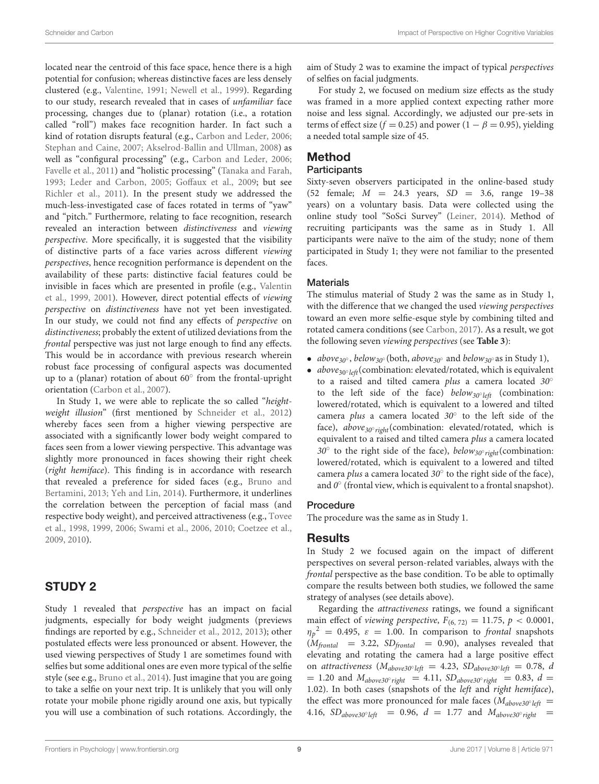located near the centroid of this face space, hence there is a high potential for confusion; whereas distinctive faces are less densely clustered (e.g., [Valentine, 1991;](#page-15-16) [Newell et al., 1999\)](#page-14-35). Regarding to our study, research revealed that in cases of unfamiliar face processing, changes due to (planar) rotation (i.e., a rotation called "roll") makes face recognition harder. In fact such a kind of rotation disrupts featural (e.g., [Carbon and Leder, 2006;](#page-12-17) [Stephan and Caine, 2007;](#page-14-40) [Akselrod-Ballin and Ullman, 2008\)](#page-12-18) as well as "configural processing" (e.g., [Carbon and Leder, 2006;](#page-12-17) [Favelle et al., 2011\)](#page-13-41) and "holistic processing" [\(Tanaka and Farah,](#page-15-9) [1993;](#page-15-9) [Leder and Carbon, 2005;](#page-13-42) [Goffaux et al., 2009;](#page-13-43) but see [Richler et al., 2011\)](#page-14-41). In the present study we addressed the much-less-investigated case of faces rotated in terms of "yaw" and "pitch." Furthermore, relating to face recognition, research revealed an interaction between distinctiveness and viewing perspective. More specifically, it is suggested that the visibility of distinctive parts of a face varies across different viewing perspectives, hence recognition performance is dependent on the availability of these parts: distinctive facial features could be invisible in faces which are presented in profile (e.g., Valentin et al., [1999,](#page-15-18) [2001\)](#page-15-19). However, direct potential effects of viewing perspective on distinctiveness have not yet been investigated. In our study, we could not find any effects of perspective on distinctiveness; probably the extent of utilized deviations from the frontal perspective was just not large enough to find any effects. This would be in accordance with previous research wherein robust face processing of configural aspects was documented up to a (planar) rotation of about 60° from the frontal-upright orientation [\(Carbon et al., 2007\)](#page-12-19).

In Study 1, we were able to replicate the so called "height-weight illusion" (first mentioned by [Schneider et al., 2012\)](#page-14-0) whereby faces seen from a higher viewing perspective are associated with a significantly lower body weight compared to faces seen from a lower viewing perspective. This advantage was slightly more pronounced in faces showing their right cheek (right hemiface). This finding is in accordance with research that revealed a preference for sided faces (e.g., Bruno and Bertamini, [2013;](#page-12-0) [Yeh and Lin, 2014\)](#page-15-1). Furthermore, it underlines the correlation between the perception of facial mass (and respective body weight), and perceived attractiveness (e.g., Tovee et al., [1998,](#page-15-20) [1999,](#page-15-21) [2006;](#page-15-10) [Swami et al., 2006,](#page-14-42) [2010;](#page-15-22) [Coetzee et](#page-13-18) al., [2009,](#page-13-18) [2010\)](#page-13-19).

# STUDY 2

Study 1 revealed that perspective has an impact on facial judgments, especially for body weight judgments (previews findings are reported by e.g., [Schneider et al., 2012,](#page-14-0) [2013\)](#page-14-22); other postulated effects were less pronounced or absent. However, the used viewing perspectives of Study 1 are sometimes found with selfies but some additional ones are even more typical of the selfie style (see e.g., [Bruno et al., 2014\)](#page-12-1). Just imagine that you are going to take a selfie on your next trip. It is unlikely that you will only rotate your mobile phone rigidly around one axis, but typically you will use a combination of such rotations. Accordingly, the aim of Study 2 was to examine the impact of typical perspectives of selfies on facial judgments.

For study 2, we focused on medium size effects as the study was framed in a more applied context expecting rather more noise and less signal. Accordingly, we adjusted our pre-sets in terms of effect size ( $f = 0.25$ ) and power ( $1 - \beta = 0.95$ ), yielding a needed total sample size of 45.

# Method

### **Participants**

Sixty-seven observers participated in the online-based study (52 female;  $M = 24.3$  years,  $SD = 3.6$ , range 19-38 years) on a voluntary basis. Data were collected using the online study tool "SoSci Survey" [\(Leiner, 2014\)](#page-13-34). Method of recruiting participants was the same as in Study 1. All participants were naïve to the aim of the study; none of them participated in Study 1; they were not familiar to the presented faces.

### **Materials**

The stimulus material of Study 2 was the same as in Study 1, with the difference that we changed the used viewing perspectives toward an even more selfie-esque style by combining tilted and rotated camera conditions (see [Carbon, 2017\)](#page-12-20). As a result, we got the following seven viewing perspectives (see **[Table 3](#page-9-0)**):

- above<sub>30</sub>°, below<sub>30</sub>° (both, above<sub>30</sub>° and below<sub>30</sub>° as in Study 1),
- $above_{30°left}$  (combination: elevated/rotated, which is equivalent to a raised and tilted camera plus a camera located 30° to the left side of the face) below<sub>30°left</sub> (combination: lowered/rotated, which is equivalent to a lowered and tilted camera plus a camera located  $30^\circ$  to the left side of the face), above<sub>30°right</sub>(combination: elevated/rotated, which is equivalent to a raised and tilted camera plus a camera located 30 $^{\circ}$  to the right side of the face), below<sub>30 $^{\circ}$ right</sub>(combination: lowered/rotated, which is equivalent to a lowered and tilted camera plus a camera located  $30^{\circ}$  to the right side of the face), and  $0^{\circ}$  (frontal view, which is equivalent to a frontal snapshot).

### **Procedure**

The procedure was the same as in Study 1.

### Results

In Study 2 we focused again on the impact of different perspectives on several person-related variables, always with the frontal perspective as the base condition. To be able to optimally compare the results between both studies, we followed the same strategy of analyses (see details above).

Regarding the attractiveness ratings, we found a significant main effect of *viewing perspective*,  $F_{(6, 72)} = 11.75$ ,  $p < 0.0001$ ,  $\eta_p^2 = 0.495$ ,  $\varepsilon = 1.00$ . In comparison to frontal snapshots  $(M_{frontal}$  = 3.22, SD<sub>frontal</sub> = 0.90), analyses revealed that elevating and rotating the camera had a large positive effect on attractiveness  $(M_{above30} \text{°} \text{·left} = 4.23, SD_{above30} \text{°} \text{·left} = 0.78, d$  $= 1.20$  and  $M_{above30°\,right}$   $= 4.11, SD_{above30°\,right}$   $= 0.83, d =$ 1.02). In both cases (snapshots of the left and right hemiface), the effect was more pronounced for male faces ( $M_{above30^{\circ}left}$  = 4.16,  $SD_{above30^{\circ}left}$  = 0.96,  $d = 1.77$  and  $M_{above30^{\circ}right}$  =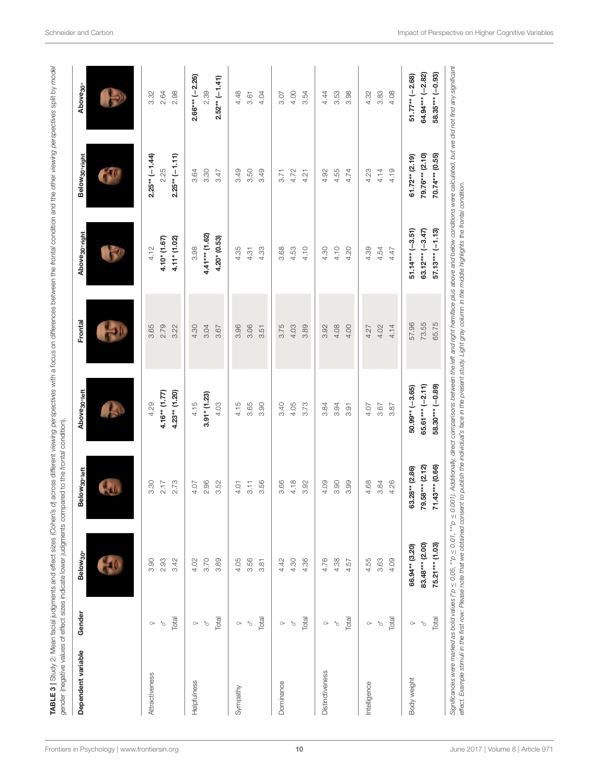| Dependent variable     | Gender                 | Below <sub>30°</sub> | Below <sub>30'left</sub> | Above <sub>30°left</sub> | Frontal | Above <sub>30°right</sub> | Below <sub>30°right</sub> | Above <sub>30°</sub> |
|------------------------|------------------------|----------------------|--------------------------|--------------------------|---------|---------------------------|---------------------------|----------------------|
|                        |                        |                      |                          |                          |         |                           |                           |                      |
| Attractiveness         | $\bigcirc +$           | 3.90                 | 3.30                     | 4.29                     | 3.65    | 4.12                      | $2.25**(-1.44)$           | 3.32                 |
|                        | $\gamma_{\rm O}$       | 2.93                 | 2.17                     | $4.16**$ (1.77)          | 2.79    | $4.10* (1.67)$            | 2.25                      | 2.64                 |
|                        | Total                  | 3.42                 | 2.73                     | $4.23**$ (1.20)          | 3.22    | $4.11* (1.02)$            | $2.25**(-1.11)$           | 2.98                 |
| Helpfulness            | $O+$                   | 4.02                 | 4.07                     | 4.15                     | 4.30    | 3.98                      | 3.64                      | $2.66*** (-2.26)$    |
|                        | b,                     | 3.70                 | 2.96                     | $3.91* (1.23)$           | 3.04    | 4.41*** (1.62)            | 3.30                      | 2.39                 |
|                        | Total                  | 3.89                 | 3.52                     | 4.03                     | 3.67    | $4.20*(0.53)$             | 3.47                      | $2.52** (-1.41)$     |
| Sympathy               | $\circlearrowright\!$  | 4.05                 | 4.01                     | 4.15                     | 3.96    | 4.35                      | 3.49                      | 4.48                 |
|                        | $\circ$                | 3.56                 | 3.11                     | 3.65                     | 3.06    | 4.31                      | 3.50                      | 3.61                 |
|                        | Total                  | 3.81                 | 3.56                     | 3.90                     | 3.51    | 4.33                      | 3.49                      | 4.04                 |
| Dominance              | $\bigcirc\!+$          | 4.42                 | 3.66                     | 3.40                     | 3.75    | 3.68                      | 3.71                      | 3.07                 |
|                        | P.                     | 4.30                 | 4.18                     | 4.05                     | 4.03    | 4.53                      | 4.72                      | 4.00                 |
|                        | Total                  | 4.36                 | 3.92                     | 3.73                     | 3.89    | 4.10                      | 4.21                      | 3.54                 |
| <b>Distinctiveness</b> | $\circ$                | 4.76                 | 4.09                     | 3.84                     | 3.92    | 4.30                      | 4.92                      | 4.44                 |
|                        | Ò                      | 4.38                 | 3.90                     | 3.94                     | 4.08    | 4.10                      | 4.55                      | 3.53                 |
|                        | Total                  | 4.57                 | 3.99                     | 3.91                     | 4.00    | 4.20                      | 4.74                      | 3.98                 |
| Intelligence           | $\circlearrowright\!+$ | 4.55                 | 4.68                     | 4.07                     | 4.27    | 4.39                      | 4.23                      | 4.32                 |
|                        | Ò                      | 3.63                 | 3.84                     | 3.67                     | 4.02    | 4.54                      | 4.14                      | 3.83                 |
|                        | Total                  | 4.09                 | 4.26                     | 3.87                     | 4.14    | 4.47                      | 4.19                      | 4.08                 |
| Body weight            | $\circ$                | 66.94** (3.20)       | 63.28** (2.86)           | $50.99** (-3.65)$        | 57.96   | $51.14***$ (-3.51)        | $61.72** (2.19)$          | $51.77**$ (-2.68)    |
|                        | b,                     | 83.48*** (2.00)      | 79.58*** (2.12)          | $65.61*** (-2.11)$       | 73.55   | 63.12*** $(-3.47)$        | 79.76*** (2.10)           | 64.94*** (-2.82)     |
|                        | Total                  | 75.21*** (1.03)      | $71.43***$ (0.66)        | 58.30*** (-0.89)         | 65.75   | $57.13*** (-1.13)$        | 70.74*** (0.55)           | 58.35*** (-0.93)     |

<span id="page-9-0"></span>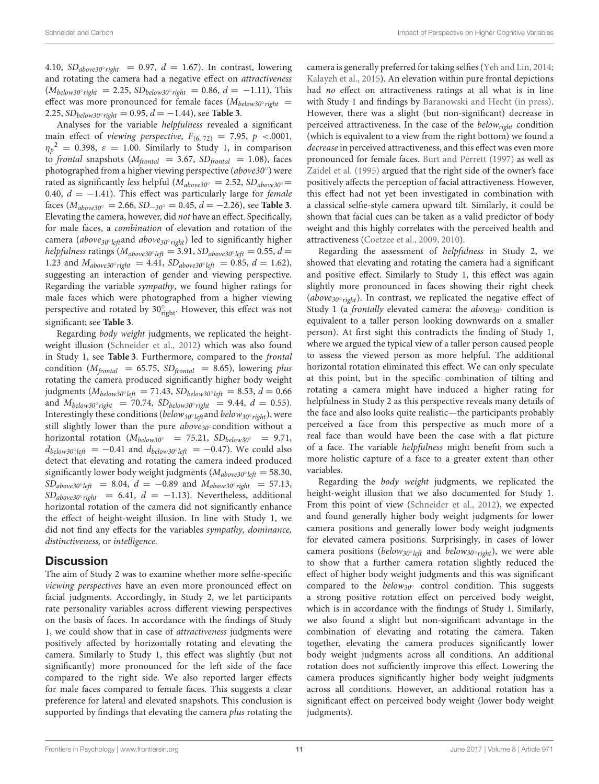4.10,  $SD_{above30^{\circ}right}$  = 0.97,  $d = 1.67$ ). In contrast, lowering and rotating the camera had a negative effect on attractiveness  $(M_{\text{below30}^{\circ} \text{right}} = 2.25, SD_{\text{below30}^{\circ} \text{right}} = 0.86, d = -1.11$ . This effect was more pronounced for female faces ( $M_{below 30°\, right}$  = 2.25,  $SD_{below30°\,right} = 0.95, d = -1.44$ , see **[Table 3](#page-9-0)**.

Analyses for the variable helpfulness revealed a significant main effect of viewing perspective,  $F_{(6, 72)} = 7.95$ ,  $p \lt 0.0001$ ,  $\eta_p^2 = 0.398$ ,  $\varepsilon = 1.00$ . Similarly to Study 1, in comparison to frontal snapshots ( $M_{frontal}$  = 3.67,  $SD_{frontal}$  = 1.08), faces photographed from a higher viewing perspective (above30°) were rated as significantly less helpful ( $M_{above30°} = 2.52$ ,  $SD_{above30°} =$ 0.40,  $d = -1.41$ ). This effect was particularly large for *female* faces (Mabove30◦ = 2.66, SD−30◦ = 0.45, d = −2.26), see **[Table 3](#page-9-0)**. Elevating the camera, however, did not have an effect. Specifically, for male faces, a combination of elevation and rotation of the camera (*above<sub>30° left</sub>*and *above<sub>30° right*) led to significantly higher</sub> helpfulness ratings ( $M_{above30^{\circ}left}=3.91$ ,  $SD_{above30^{\circ}left}=0.55$ ,  $d=$ 1.23 and  $M_{above30°\ right} = 4.41$ ,  $SD_{above30°\ left} = 0.85$ ,  $d = 1.62$ ), suggesting an interaction of gender and viewing perspective. Regarding the variable sympathy, we found higher ratings for male faces which were photographed from a higher viewing perspective and rotated by  $30^{\circ}_{\text{right}}$ . However, this effect was not significant; see **[Table 3](#page-9-0)**.

Regarding body weight judgments, we replicated the heightweight illusion [\(Schneider et al., 2012\)](#page-14-0) which was also found in Study 1, see **[Table 3](#page-9-0)**. Furthermore, compared to the frontal condition ( $M_{frontal}$  = 65.75,  $SD_{frontal}$  = 8.65), lowering plus rotating the camera produced significantly higher body weight judgments ( $M_{below 30°}$ <sub>left</sub> = 71.43, SD<sub>below30°</sub> l<sub>eft</sub> = 8.53,  $d = 0.66$ and  $M_{below 30° right}$  = 70.74,  $SD_{below 30° right}$  = 9.44,  $d$  = 0.55). Interestingly these conditions ( $below_{30^{\circ}left}$  and  $below_{30^{\circ}right}$ ), were still slightly lower than the pure  $above_{30} \circ$  condition without a horizontal rotation ( $M_{below30°}$  = 75.21,  $SD_{below30°}$  = 9.71,  $d_{below 30°left} = -0.41$  and  $d_{below 30°left} = -0.47$ ). We could also detect that elevating and rotating the camera indeed produced significantly lower body weight judgments ( $M_{above30^{\circ}left} = 58.30$ ,  $SD_{above30^{\circ}left}$  = 8.04,  $d = -0.89$  and  $M_{above30^{\circ}right}$  = 57.13,  $SD_{above30°\ right}$  = 6.41,  $d = -1.13$ ). Nevertheless, additional horizontal rotation of the camera did not significantly enhance the effect of height-weight illusion. In line with Study 1, we did not find any effects for the variables sympathy, dominance, distinctiveness, or intelligence.

### **Discussion**

The aim of Study 2 was to examine whether more selfie-specific viewing perspectives have an even more pronounced effect on facial judgments. Accordingly, in Study 2, we let participants rate personality variables across different viewing perspectives on the basis of faces. In accordance with the findings of Study 1, we could show that in case of attractiveness judgments were positively affected by horizontally rotating and elevating the camera. Similarly to Study 1, this effect was slightly (but not significantly) more pronounced for the left side of the face compared to the right side. We also reported larger effects for male faces compared to female faces. This suggests a clear preference for lateral and elevated snapshots. This conclusion is supported by findings that elevating the camera *plus* rotating the camera is generally preferred for taking selfies [\(Yeh and Lin, 2014;](#page-15-1) [Kalayeh et al., 2015\)](#page-13-44). An elevation within pure frontal depictions had no effect on attractiveness ratings at all what is in line with Study 1 and findings by [Baranowski and Hecht \(in press\)](#page-12-16). However, there was a slight (but non-significant) decrease in perceived attractiveness. In the case of the  $below_{right}$  condition (which is equivalent to a view from the right bottom) we found a decrease in perceived attractiveness, and this effect was even more pronounced for female faces. [Burt and Perrett \(1997\)](#page-12-7) as well as [Zaidel et al. \(1995\)](#page-15-6) argued that the right side of the owner's face positively affects the perception of facial attractiveness. However, this effect had not yet been investigated in combination with a classical selfie-style camera upward tilt. Similarly, it could be shown that facial cues can be taken as a valid predictor of body weight and this highly correlates with the perceived health and attractiveness [\(Coetzee et al., 2009,](#page-13-18) [2010\)](#page-13-19).

Regarding the assessment of helpfulness in Study 2, we showed that elevating and rotating the camera had a significant and positive effect. Similarly to Study 1, this effect was again slightly more pronounced in faces showing their right cheek (above<sub>30°right</sub>). In contrast, we replicated the negative effect of Study 1 (a *frontally* elevated camera: the *above*<sub>30</sub> $\circ$  condition is equivalent to a taller person looking downwards on a smaller person). At first sight this contradicts the finding of Study 1, where we argued the typical view of a taller person caused people to assess the viewed person as more helpful. The additional horizontal rotation eliminated this effect. We can only speculate at this point, but in the specific combination of tilting and rotating a camera might have induced a higher rating for helpfulness in Study 2 as this perspective reveals many details of the face and also looks quite realistic—the participants probably perceived a face from this perspective as much more of a real face than would have been the case with a flat picture of a face. The variable helpfulness might benefit from such a more holistic capture of a face to a greater extent than other variables.

Regarding the body weight judgments, we replicated the height-weight illusion that we also documented for Study 1. From this point of view [\(Schneider et al., 2012\)](#page-14-0), we expected and found generally higher body weight judgments for lower camera positions and generally lower body weight judgments for elevated camera positions. Surprisingly, in cases of lower camera positions (below<sub>30°left</sub> and below<sub>30°right</sub>), we were able to show that a further camera rotation slightly reduced the effect of higher body weight judgments and this was significant compared to the  $below_{30°}$  control condition. This suggests a strong positive rotation effect on perceived body weight, which is in accordance with the findings of Study 1. Similarly, we also found a slight but non-significant advantage in the combination of elevating and rotating the camera. Taken together, elevating the camera produces significantly lower body weight judgments across all conditions. An additional rotation does not sufficiently improve this effect. Lowering the camera produces significantly higher body weight judgments across all conditions. However, an additional rotation has a significant effect on perceived body weight (lower body weight judgments).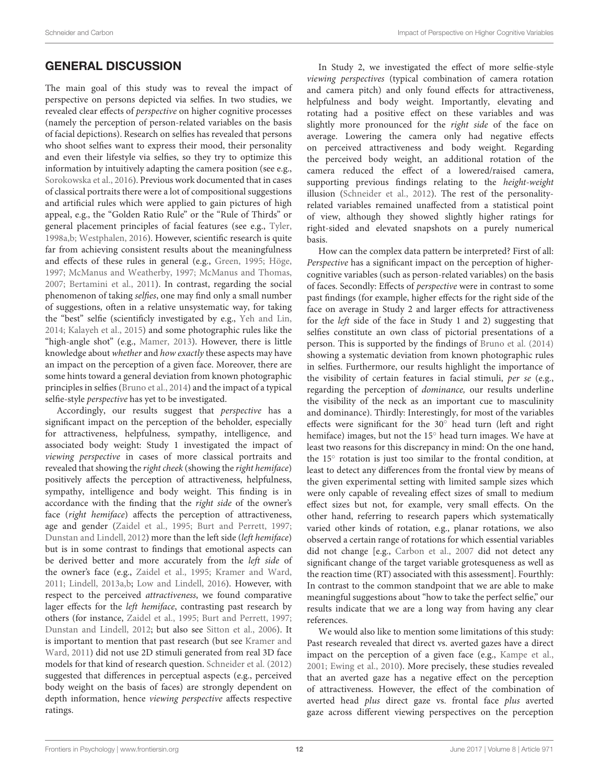# GENERAL DISCUSSION

The main goal of this study was to reveal the impact of perspective on persons depicted via selfies. In two studies, we revealed clear effects of perspective on higher cognitive processes (namely the perception of person-related variables on the basis of facial depictions). Research on selfies has revealed that persons who shoot selfies want to express their mood, their personality and even their lifestyle via selfies, so they try to optimize this information by intuitively adapting the camera position (see e.g., [Sorokowska et al., 2016\)](#page-14-1). Previous work documented that in cases of classical portraits there were a lot of compositional suggestions and artificial rules which were applied to gain pictures of high appeal, e.g., the "Golden Ratio Rule" or the "Rule of Thirds" or general placement principles of facial features (see e.g., [Tyler,](#page-15-23) [1998a](#page-15-23)[,b;](#page-15-24) [Westphalen, 2016\)](#page-15-25). However, scientific research is quite far from achieving consistent results about the meaningfulness and effects of these rules in general (e.g., [Green, 1995;](#page-13-45) [Höge,](#page-13-46) [1997;](#page-13-46) [McManus and Weatherby, 1997;](#page-14-43) [McManus and Thomas,](#page-14-44) [2007;](#page-14-44) [Bertamini et al., 2011\)](#page-12-21). In contrast, regarding the social phenomenon of taking selfies, one may find only a small number of suggestions, often in a relative unsystematic way, for taking the "best" selfie (scientificly investigated by e.g., [Yeh and Lin,](#page-15-1) [2014;](#page-15-1) [Kalayeh et al., 2015\)](#page-13-44) and some photographic rules like the "high-angle shot" (e.g., [Mamer, 2013\)](#page-14-45). However, there is little knowledge about whether and how exactly these aspects may have an impact on the perception of a given face. Moreover, there are some hints toward a general deviation from known photographic principles in selfies [\(Bruno et al., 2014\)](#page-12-1) and the impact of a typical selfie-style perspective has yet to be investigated.

Accordingly, our results suggest that perspective has a significant impact on the perception of the beholder, especially for attractiveness, helpfulness, sympathy, intelligence, and associated body weight: Study 1 investigated the impact of viewing perspective in cases of more classical portraits and revealed that showing the right cheek (showing the right hemiface) positively affects the perception of attractiveness, helpfulness, sympathy, intelligence and body weight. This finding is in accordance with the finding that the right side of the owner's face (right hemiface) affects the perception of attractiveness, age and gender [\(Zaidel et al., 1995;](#page-15-6) [Burt and Perrett, 1997;](#page-12-7) [Dunstan and Lindell, 2012\)](#page-13-26) more than the left side (left hemiface) but is in some contrast to findings that emotional aspects can be derived better and more accurately from the left side of the owner's face (e.g., [Zaidel et al., 1995;](#page-15-6) [Kramer and Ward,](#page-13-20) [2011;](#page-13-20) [Lindell, 2013a,](#page-13-22)[b;](#page-13-23) [Low and Lindell, 2016\)](#page-13-24). However, with respect to the perceived attractiveness, we found comparative lager effects for the left hemiface, contrasting past research by others (for instance, [Zaidel et al., 1995;](#page-15-6) [Burt and Perrett, 1997;](#page-12-7) [Dunstan and Lindell, 2012;](#page-13-26) but also see [Sitton et al., 2006\)](#page-14-24). It is important to mention that past research (but see Kramer and Ward, [2011\)](#page-13-20) did not use 2D stimuli generated from real 3D face models for that kind of research question. [Schneider et al. \(2012\)](#page-14-0) suggested that differences in perceptual aspects (e.g., perceived body weight on the basis of faces) are strongly dependent on depth information, hence viewing perspective affects respective ratings.

In Study 2, we investigated the effect of more selfie-style viewing perspectives (typical combination of camera rotation and camera pitch) and only found effects for attractiveness, helpfulness and body weight. Importantly, elevating and rotating had a positive effect on these variables and was slightly more pronounced for the right side of the face on average. Lowering the camera only had negative effects on perceived attractiveness and body weight. Regarding the perceived body weight, an additional rotation of the camera reduced the effect of a lowered/raised camera, supporting previous findings relating to the height-weight illusion [\(Schneider et al., 2012\)](#page-14-0). The rest of the personalityrelated variables remained unaffected from a statistical point of view, although they showed slightly higher ratings for right-sided and elevated snapshots on a purely numerical basis.

How can the complex data pattern be interpreted? First of all: Perspective has a significant impact on the perception of highercognitive variables (such as person-related variables) on the basis of faces. Secondly: Effects of perspective were in contrast to some past findings (for example, higher effects for the right side of the face on average in Study 2 and larger effects for attractiveness for the left side of the face in Study 1 and 2) suggesting that selfies constitute an own class of pictorial presentations of a person. This is supported by the findings of [Bruno et al. \(2014\)](#page-12-1) showing a systematic deviation from known photographic rules in selfies. Furthermore, our results highlight the importance of the visibility of certain features in facial stimuli, per se (e.g., regarding the perception of dominance, our results underline the visibility of the neck as an important cue to masculinity and dominance). Thirdly: Interestingly, for most of the variables effects were significant for the 30◦ head turn (left and right hemiface) images, but not the 15◦ head turn images. We have at least two reasons for this discrepancy in mind: On the one hand, the 15<sup>°</sup> rotation is just too similar to the frontal condition, at least to detect any differences from the frontal view by means of the given experimental setting with limited sample sizes which were only capable of revealing effect sizes of small to medium effect sizes but not, for example, very small effects. On the other hand, referring to research papers which systematically varied other kinds of rotation, e.g., planar rotations, we also observed a certain range of rotations for which essential variables did not change [e.g., [Carbon et al., 2007](#page-12-19) did not detect any significant change of the target variable grotesqueness as well as the reaction time (RT) associated with this assessment]. Fourthly: In contrast to the common standpoint that we are able to make meaningful suggestions about "how to take the perfect selfie," our results indicate that we are a long way from having any clear references.

We would also like to mention some limitations of this study: Past research revealed that direct vs. averted gazes have a direct impact on the perception of a given face (e.g., [Kampe et al.,](#page-13-47) [2001;](#page-13-47) [Ewing et al., 2010\)](#page-13-48). More precisely, these studies revealed that an averted gaze has a negative effect on the perception of attractiveness. However, the effect of the combination of averted head plus direct gaze vs. frontal face plus averted gaze across different viewing perspectives on the perception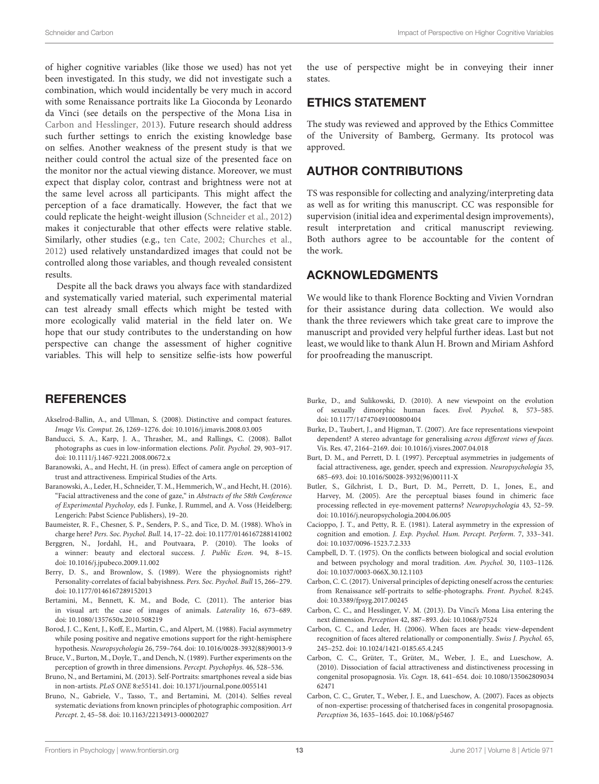of higher cognitive variables (like those we used) has not yet been investigated. In this study, we did not investigate such a combination, which would incidentally be very much in accord with some Renaissance portraits like La Gioconda by Leonardo da Vinci (see details on the perspective of the Mona Lisa in [Carbon and Hesslinger, 2013\)](#page-12-22). Future research should address such further settings to enrich the existing knowledge base on selfies. Another weakness of the present study is that we neither could control the actual size of the presented face on the monitor nor the actual viewing distance. Moreover, we must expect that display color, contrast and brightness were not at the same level across all participants. This might affect the perception of a face dramatically. However, the fact that we could replicate the height-weight illusion [\(Schneider et al., 2012\)](#page-14-0) makes it conjecturable that other effects were relative stable. Similarly, other studies (e.g., [ten Cate, 2002;](#page-15-17) [Churches et al.,](#page-13-40) [2012\)](#page-13-40) used relatively unstandardized images that could not be controlled along those variables, and though revealed consistent results.

Despite all the back draws you always face with standardized and systematically varied material, such experimental material can test already small effects which might be tested with more ecologically valid material in the field later on. We hope that our study contributes to the understanding on how perspective can change the assessment of higher cognitive variables. This will help to sensitize selfie-ists how powerful

### **REFERENCES**

- <span id="page-12-18"></span>Akselrod-Ballin, A., and Ullman, S. (2008). Distinctive and compact features. Image Vis. Comput. 26, 1269–1276. doi: [10.1016/j.imavis.2008.03.005](https://doi.org/10.1016/j.imavis.2008.03.005)
- <span id="page-12-3"></span>Banducci, S. A., Karp, J. A., Thrasher, M., and Rallings, C. (2008). Ballot photographs as cues in low-information elections. Polit. Psychol. 29, 903–917. doi: [10.1111/j.1467-9221.2008.00672.x](https://doi.org/10.1111/j.1467-9221.2008.00672.x)
- <span id="page-12-16"></span>Baranowski, A., and Hecht, H. (in press). Effect of camera angle on perception of trust and attractiveness. Empirical Studies of the Arts.
- <span id="page-12-2"></span>Baranowski, A., Leder, H., Schneider, T. M., Hemmerich, W., and Hecht, H. (2016). "Facial attractiveness and the cone of gaze," in Abstracts of the 58th Conference of Experimental Psycholoy, eds J. Funke, J. Rummel, and A. Voss (Heidelberg; Lengerich: Pabst Science Publishers), 19–20.
- <span id="page-12-13"></span>Baumeister, R. F., Chesner, S. P., Senders, P. S., and Tice, D. M. (1988). Who's in charge here? Pers. Soc. Psychol. Bull. 14, 17–22. doi: [10.1177/0146167288141002](https://doi.org/10.1177/0146167288141002)
- <span id="page-12-4"></span>Berggren, N., Jordahl, H., and Poutvaara, P. (2010). The looks of a winner: beauty and electoral success. J. Public Econ. 94, 8–15. doi: [10.1016/j.jpubeco.2009.11.002](https://doi.org/10.1016/j.jpubeco.2009.11.002)
- <span id="page-12-5"></span>Berry, D. S., and Brownlow, S. (1989). Were the physiognomists right? Personality-correlates of facial babyishness. Pers. Soc. Psychol. Bull 15, 266–279. doi: [10.1177/0146167289152013](https://doi.org/10.1177/0146167289152013)
- <span id="page-12-21"></span>Bertamini, M., Bennett, K. M., and Bode, C. (2011). The anterior bias in visual art: the case of images of animals. Laterality 16, 673–689. doi: [10.1080/1357650x.2010.508219](https://doi.org/10.1080/1357650x.2010.508219)
- <span id="page-12-10"></span>Borod, J. C., Kent, J., Koff, E., Martin, C., and Alpert, M. (1988). Facial asymmetry while posing positive and negative emotions support for the right-hemisphere hypothesis. Neuropsychologia 26, 759–764. doi: [10.1016/0028-3932\(88\)90013-9](https://doi.org/10.1016/0028-3932(88)90013-9)
- <span id="page-12-8"></span>Bruce, V., Burton, M., Doyle, T., and Dench, N. (1989). Further experiments on the perception of growth in three dimensions. Percept. Psychophys. 46, 528–536.
- <span id="page-12-0"></span>Bruno, N., and Bertamini, M. (2013). Self-Portraits: smartphones reveal a side bias in non-artists. PLoS ONE 8:e55141. doi: [10.1371/journal.pone.0055141](https://doi.org/10.1371/journal.pone.0055141)
- <span id="page-12-1"></span>Bruno, N., Gabriele, V., Tasso, T., and Bertamini, M. (2014). Selfies reveal systematic deviations from known principles of photographic composition. Art Percept. 2, 45–58. doi: [10.1163/22134913-00002027](https://doi.org/10.1163/22134913-00002027)

the use of perspective might be in conveying their inner states.

## ETHICS STATEMENT

The study was reviewed and approved by the Ethics Committee of the University of Bamberg, Germany. Its protocol was approved.

### AUTHOR CONTRIBUTIONS

TS was responsible for collecting and analyzing/interpreting data as well as for writing this manuscript. CC was responsible for supervision (initial idea and experimental design improvements), result interpretation and critical manuscript reviewing. Both authors agree to be accountable for the content of the work.

### ACKNOWLEDGMENTS

We would like to thank Florence Bockting and Vivien Vorndran for their assistance during data collection. We would also thank the three reviewers which take great care to improve the manuscript and provided very helpful further ideas. Last but not least, we would like to thank Alun H. Brown and Miriam Ashford for proofreading the manuscript.

- <span id="page-12-6"></span>Burke, D., and Sulikowski, D. (2010). A new viewpoint on the evolution of sexually dimorphic human faces. Evol. Psychol. 8, 573–585. doi: [10.1177/147470491000800404](https://doi.org/10.1177/147470491000800404)
- <span id="page-12-15"></span>Burke, D., Taubert, J., and Higman, T. (2007). Are face representations viewpoint dependent? A stereo advantage for generalising across different views of faces. Vis. Res. 47, 2164–2169. doi: [10.1016/j.visres.2007.04.018](https://doi.org/10.1016/j.visres.2007.04.018)
- <span id="page-12-7"></span>Burt, D. M., and Perrett, D. I. (1997). Perceptual asymmetries in judgements of facial attractiveness, age, gender, speech and expression. Neuropsychologia 35, 685–693. doi: [10.1016/S0028-3932\(96\)00111-X](https://doi.org/10.1016/S0028-3932(96)00111-X)
- <span id="page-12-9"></span>Butler, S., Gilchrist, I. D., Burt, D. M., Perrett, D. I., Jones, E., and Harvey, M. (2005). Are the perceptual biases found in chimeric face processing reflected in eye-movement patterns? Neuropsychologia 43, 52–59. doi: [10.1016/j.neuropsychologia.2004.06.005](https://doi.org/10.1016/j.neuropsychologia.2004.06.005)
- <span id="page-12-11"></span>Cacioppo, J. T., and Petty, R. E. (1981). Lateral asymmetry in the expression of cognition and emotion. J. Exp. Psychol. Hum. Percept. Perform. 7, 333–341. doi: [10.1037/0096-1523.7.2.333](https://doi.org/10.1037/0096-1523.7.2.333)
- <span id="page-12-12"></span>Campbell, D. T. (1975). On the conflicts between biological and social evolution and between psychology and moral tradition. Am. Psychol. 30, 1103–1126. doi: [10.1037/0003-066X.30.12.1103](https://doi.org/10.1037/0003-066X.30.12.1103)
- <span id="page-12-20"></span>Carbon, C. C. (2017). Universal principles of depicting oneself across the centuries: from Renaissance self-portraits to selfie-photographs. Front. Psychol. 8:245. doi: [10.3389/fpsyg.2017.00245](https://doi.org/10.3389/fpsyg.2017.00245)
- <span id="page-12-22"></span>Carbon, C. C., and Hesslinger, V. M. (2013). Da Vinci's Mona Lisa entering the next dimension. Perception 42, 887–893. doi: [10.1068/p7524](https://doi.org/10.1068/p7524)
- <span id="page-12-17"></span>Carbon, C. C., and Leder, H. (2006). When faces are heads: view-dependent recognition of faces altered relationally or componentially. Swiss J. Psychol. 65, 245–252. doi: [10.1024/1421-0185.65.4.245](https://doi.org/10.1024/1421-0185.65.4.245)
- <span id="page-12-14"></span>Carbon, C. C., Grüter, T., Grüter, M., Weber, J. E., and Lueschow, A. (2010). Dissociation of facial attractiveness and distinctiveness processing in congenital prosopagnosia. Vis. Cogn. [18, 641–654. doi: 10.1080/135062809034](https://doi.org/10.1080/13506280903462471) 62471
- <span id="page-12-19"></span>Carbon, C. C., Gruter, T., Weber, J. E., and Lueschow, A. (2007). Faces as objects of non-expertise: processing of thatcherised faces in congenital prosopagnosia. Perception 36, 1635–1645. doi: [10.1068/p5467](https://doi.org/10.1068/p5467)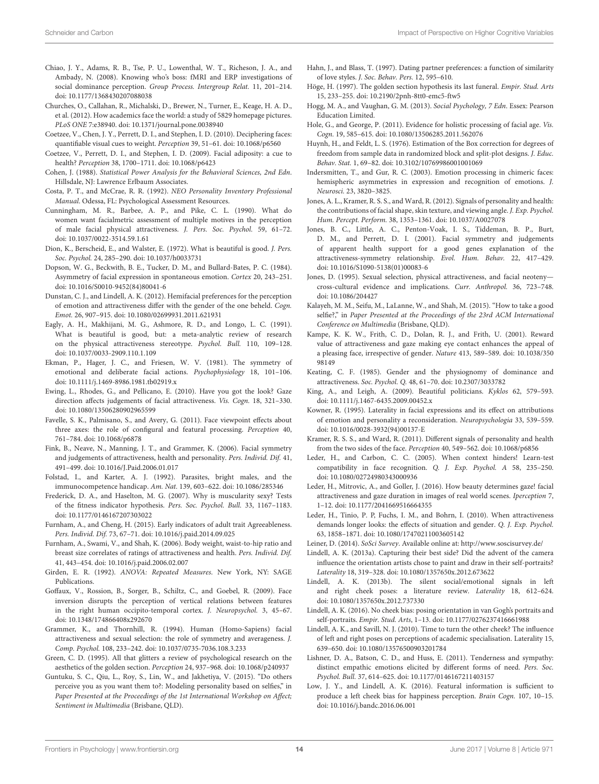- <span id="page-13-14"></span>Chiao, J. Y., Adams, R. B., Tse, P. U., Lowenthal, W. T., Richeson, J. A., and Ambady, N. (2008). Knowing who's boss: fMRI and ERP investigations of social dominance perception. Group Process. Intergroup Relat. 11, 201–214. doi: [10.1177/1368430207088038](https://doi.org/10.1177/1368430207088038)
- <span id="page-13-40"></span>Churches, O., Callahan, R., Michalski, D., Brewer, N., Turner, E., Keage, H. A. D., et al. (2012). How academics face the world: a study of 5829 homepage pictures. PLoS ONE 7:e38940. doi: [10.1371/journal.pone.0038940](https://doi.org/10.1371/journal.pone.0038940)
- <span id="page-13-19"></span>Coetzee, V., Chen, J. Y., Perrett, D. I., and Stephen, I. D. (2010). Deciphering faces: quantifiable visual cues to weight. Perception 39, 51–61. doi: [10.1068/p6560](https://doi.org/10.1068/p6560)
- <span id="page-13-18"></span>Coetzee, V., Perrett, D. I., and Stephen, I. D. (2009). Facial adiposity: a cue to health? Perception 38, 1700–1711. doi: [10.1068/p6423](https://doi.org/10.1068/p6423)
- <span id="page-13-35"></span>Cohen, J. (1988). Statistical Power Analysis for the Behavioral Sciences, 2nd Edn. Hillsdale, NJ: Lawrence Erlbaum Associates.
- <span id="page-13-1"></span>Costa, P. T., and McCrae, R. R. (1992). NEO Personality Inventory Professional Manual. Odessa, FL: Psychological Assessment Resources.
- <span id="page-13-10"></span>Cunningham, M. R., Barbee, A. P., and Pike, C. L. (1990). What do women want facialmetric assessment of multiple motives in the perception of male facial physical attractiveness. J. Pers. Soc. Psychol. 59, 61–72. doi: [10.1037/0022-3514.59.1.61](https://doi.org/10.1037/0022-3514.59.1.61)
- <span id="page-13-4"></span>Dion, K., Berscheid, E., and Walster, E. (1972). What is beautiful is good. J. Pers. Soc. Psychol. 24, 285–290. doi: [10.1037/h0033731](https://doi.org/10.1037/h0033731)
- <span id="page-13-30"></span>Dopson, W. G., Beckwith, B. E., Tucker, D. M., and Bullard-Bates, P. C. (1984). Asymmetry of facial expression in spontaneous emotion. Cortex 20, 243–251. doi: [10.1016/S0010-9452\(84\)80041-6](https://doi.org/10.1016/S0010-9452(84)80041-6)
- <span id="page-13-26"></span>Dunstan, C. J., and Lindell, A. K. (2012). Hemifacial preferences for the perception of emotion and attractiveness differ with the gender of the one beheld. Cogn. Emot. 26, 907–915. doi: [10.1080/02699931.2011.621931](https://doi.org/10.1080/02699931.2011.621931)
- <span id="page-13-5"></span>Eagly, A. H., Makhijani, M. G., Ashmore, R. D., and Longo, L. C. (1991). What is beautiful is good, but: a meta-analytic review of research on the physical attractiveness stereotype. Psychol. Bull. 110, 109–128. doi: [10.1037/0033-2909.110.1.109](https://doi.org/10.1037/0033-2909.110.1.109)
- <span id="page-13-27"></span>Ekman, P., Hager, J. C., and Friesen, W. V. (1981). The symmetry of emotional and deliberate facial actions. Psychophysiology 18, 101–106. doi: [10.1111/j.1469-8986.1981.tb02919.x](https://doi.org/10.1111/j.1469-8986.1981.tb02919.x)
- <span id="page-13-48"></span>Ewing, L., Rhodes, G., and Pellicano, E. (2010). Have you got the look? Gaze direction affects judgements of facial attractiveness. Vis. Cogn. 18, 321–330. doi: [10.1080/13506280902965599](https://doi.org/10.1080/13506280902965599)
- <span id="page-13-41"></span>Favelle, S. K., Palmisano, S., and Avery, G. (2011). Face viewpoint effects about three axes: the role of configural and featural processing. Perception 40, 761–784. doi: [10.1068/p6878](https://doi.org/10.1068/p6878)
- <span id="page-13-8"></span>Fink, B., Neave, N., Manning, J. T., and Grammer, K. (2006). Facial symmetry and judgements of attractiveness, health and personality. Pers. Individ. Dif. 41, 491–499. doi: [10.1016/J.Paid.2006.01.017](https://doi.org/10.1016/J.Paid.2006.01.017)
- <span id="page-13-9"></span>Folstad, I., and Karter, A. J. (1992). Parasites, bright males, and the immunocompetence handicap. Am. Nat. 139, 603–622. doi: [10.1086/285346](https://doi.org/10.1086/285346)
- <span id="page-13-12"></span>Frederick, D. A., and Haselton, M. G. (2007). Why is muscularity sexy? Tests of the fitness indicator hypothesis. Pers. Soc. Psychol. Bull. 33, 1167–1183. doi: [10.1177/0146167207303022](https://doi.org/10.1177/0146167207303022)
- <span id="page-13-38"></span>Furnham, A., and Cheng, H. (2015). Early indicators of adult trait Agreeableness. Pers. Individ. Dif. 73, 67–71. doi: [10.1016/j.paid.2014.09.025](https://doi.org/10.1016/j.paid.2014.09.025)
- <span id="page-13-17"></span>Furnham, A., Swami, V., and Shah, K. (2006). Body weight, waist-to-hip ratio and breast size correlates of ratings of attractiveness and health. Pers. Individ. Dif. 41, 443–454. doi: [10.1016/j.paid.2006.02.007](https://doi.org/10.1016/j.paid.2006.02.007)
- <span id="page-13-37"></span>Girden, E. R. (1992). ANOVA: Repeated Measures. New York, NY: SAGE Publications.
- <span id="page-13-43"></span>Goffaux, V., Rossion, B., Sorger, B., Schiltz, C., and Goebel, R. (2009). Face inversion disrupts the perception of vertical relations between features in the right human occipito-temporal cortex. J. Neuropsychol. 3, 45–67. doi: [10.1348/174866408x292670](https://doi.org/10.1348/174866408x292670)
- <span id="page-13-11"></span>Grammer, K., and Thornhill, R. (1994). Human (Homo-Sapiens) facial attractiveness and sexual selection: the role of symmetry and averageness. J. Comp. Psychol. 108, 233–242. doi: [10.1037/0735-7036.108.3.233](https://doi.org/10.1037/0735-7036.108.3.233)
- <span id="page-13-45"></span>Green, C. D. (1995). All that glitters a review of psychological research on the aesthetics of the golden section. Perception 24, 937–968. doi: [10.1068/p240937](https://doi.org/10.1068/p240937)
- <span id="page-13-0"></span>Guntuku, S. C., Qiu, L., Roy, S., Lin, W., and Jakhetiya, V. (2015). "Do others perceive you as you want them to?: Modeling personality based on selfies," in Paper Presented at the Proceedings of the 1st International Workshop on Affect; Sentiment in Multimedia (Brisbane, QLD).
- <span id="page-13-33"></span>Hahn, J., and Blass, T. (1997). Dating partner preferences: a function of similarity of love styles. J. Soc. Behav. Pers. 12, 595–610.
- <span id="page-13-46"></span>Höge, H. (1997). The golden section hypothesis its last funeral. Empir. Stud. Arts 15, 233–255. doi: [10.2190/2pnh-8tt0-emc5-ftw5](https://doi.org/10.2190/2pnh-8tt0-emc5-ftw5)
- <span id="page-13-31"></span>Hogg, M. A., and Vaughan, G. M. (2013). Social Psychology, 7 Edn. Essex: Pearson Education Limited.
- <span id="page-13-16"></span>Hole, G., and George, P. (2011). Evidence for holistic processing of facial age. Vis. Cogn. 19, 585–615. doi: [10.1080/13506285.2011.562076](https://doi.org/10.1080/13506285.2011.562076)
- <span id="page-13-36"></span>Huynh, H., and Feldt, L. S. (1976). Estimation of the Box correction for degrees of freedom from sample data in randomized block and split-plot designs. J. Educ. Behav. Stat. 1, 69–82. doi: [10.3102/10769986001001069](https://doi.org/10.3102/10769986001001069)
- <span id="page-13-28"></span>Indersmitten, T., and Gur, R. C. (2003). Emotion processing in chimeric faces: hemispheric asymmetries in expression and recognition of emotions. J. Neurosci. 23, 3820–3825.
- <span id="page-13-21"></span>Jones, A. L., Kramer, R. S. S., and Ward, R. (2012). Signals of personality and health: the contributions of facial shape, skin texture, and viewing angle. J. Exp. Psychol. Hum. Percept. Perform. 38, 1353–1361. doi: [10.1037/A0027078](https://doi.org/10.1037/A0027078)
- <span id="page-13-7"></span>Jones, B. C., Little, A. C., Penton-Voak, I. S., Tiddeman, B. P., Burt, D. M., and Perrett, D. I. (2001). Facial symmetry and judgements of apparent health support for a good genes explanation of the attractiveness-symmetry relationship. Evol. Hum. Behav. 22, 417–429. doi: [10.1016/S1090-5138\(01\)00083-6](https://doi.org/10.1016/S1090-5138(01)00083-6)
- <span id="page-13-15"></span>Jones, D. (1995). Sexual selection, physical attractiveness, and facial neoteny cross-cultural evidence and implications. Curr. Anthropol. 36, 723–748. doi: [10.1086/204427](https://doi.org/10.1086/204427)
- <span id="page-13-44"></span>Kalayeh, M. M., Seifu, M., LaLanne, W., and Shah, M. (2015). "How to take a good selfie?," in Paper Presented at the Proceedings of the 23rd ACM International Conference on Multimedia (Brisbane, QLD).
- <span id="page-13-47"></span>Kampe, K. K. W., Frith, C. D., Dolan, R. J., and Frith, U. (2001). Reward value of attractiveness and gaze making eye contact enhances the appeal of [a pleasing face, irrespective of gender.](https://doi.org/10.1038/35098149) Nature 413, 589–589. doi: 10.1038/350 98149
- <span id="page-13-13"></span>Keating, C. F. (1985). Gender and the physiognomy of dominance and attractiveness. Soc. Psychol. Q. 48, 61–70. doi: [10.2307/3033782](https://doi.org/10.2307/3033782)
- <span id="page-13-6"></span>King, A., and Leigh, A. (2009). Beautiful politicians. Kyklos 62, 579–593. doi: [10.1111/j.1467-6435.2009.00452.x](https://doi.org/10.1111/j.1467-6435.2009.00452.x)
- <span id="page-13-29"></span>Kowner, R. (1995). Laterality in facial expressions and its effect on attributions of emotion and personality a reconsideration. Neuropsychologia 33, 539–559. doi: [10.1016/0028-3932\(94\)00137-E](https://doi.org/10.1016/0028-3932(94)00137-E)
- <span id="page-13-20"></span>Kramer, R. S. S., and Ward, R. (2011). Different signals of personality and health from the two sides of the face. Perception 40, 549–562. doi: [10.1068/p6856](https://doi.org/10.1068/p6856)
- <span id="page-13-42"></span>Leder, H., and Carbon, C. C. (2005). When context hinders! Learn-test compatibility in face recognition. Q. J. Exp. Psychol. A 58, 235–250. doi: [10.1080/02724980343000936](https://doi.org/10.1080/02724980343000936)
- <span id="page-13-3"></span>Leder, H., Mitrovic, A., and Goller, J. (2016). How beauty determines gaze! facial attractiveness and gaze duration in images of real world scenes. Iperception 7, 1–12. doi: [10.1177/2041669516664355](https://doi.org/10.1177/2041669516664355)
- <span id="page-13-2"></span>Leder, H., Tinio, P. P, Fuchs, I. M., and Bohrn, I. (2010). When attractiveness demands longer looks: the effects of situation and gender. Q. J. Exp. Psychol. 63, 1858–1871. doi: [10.1080/17470211003605142](https://doi.org/10.1080/17470211003605142)
- <span id="page-13-34"></span>Leiner, D. (2014). SoSci Survey. Available online at:<http://www.soscisurvey.de/>
- <span id="page-13-22"></span>Lindell, A. K. (2013a). Capturing their best side? Did the advent of the camera influence the orientation artists chose to paint and draw in their self-portraits? Laterality 18, 319–328. doi: [10.1080/1357650x.2012.673622](https://doi.org/10.1080/1357650x.2012.673622)
- <span id="page-13-23"></span>Lindell, A. K. (2013b). The silent social/emotional signals in left and right cheek poses: a literature review. Laterality 18, 612–624. doi: [10.1080/1357650x.2012.737330](https://doi.org/10.1080/1357650x.2012.737330)
- <span id="page-13-25"></span>Lindell, A. K. (2016). No cheek bias: posing orientation in van Gogh's portraits and self-portraits. Empir. Stud. Arts, 1–13. doi: [10.1177/0276237416661988](https://doi.org/10.1177/0276237416661988)
- <span id="page-13-39"></span>Lindell, A. K., and Savill, N. J. (2010). Time to turn the other cheek? The influence of left and right poses on perceptions of academic specialisation. Laterality 15, 639–650. doi: [10.1080/13576500903201784](https://doi.org/10.1080/13576500903201784)
- <span id="page-13-32"></span>Lishner, D. A., Batson, C. D., and Huss, E. (2011). Tenderness and sympathy: distinct empathic emotions elicited by different forms of need. Pers. Soc. Psychol. Bull. 37, 614–625. doi: [10.1177/0146167211403157](https://doi.org/10.1177/0146167211403157)
- <span id="page-13-24"></span>Low, J. Y., and Lindell, A. K. (2016). Featural information is sufficient to produce a left cheek bias for happiness perception. Brain Cogn. 107, 10–15. doi: [10.1016/j.bandc.2016.06.001](https://doi.org/10.1016/j.bandc.2016.06.001)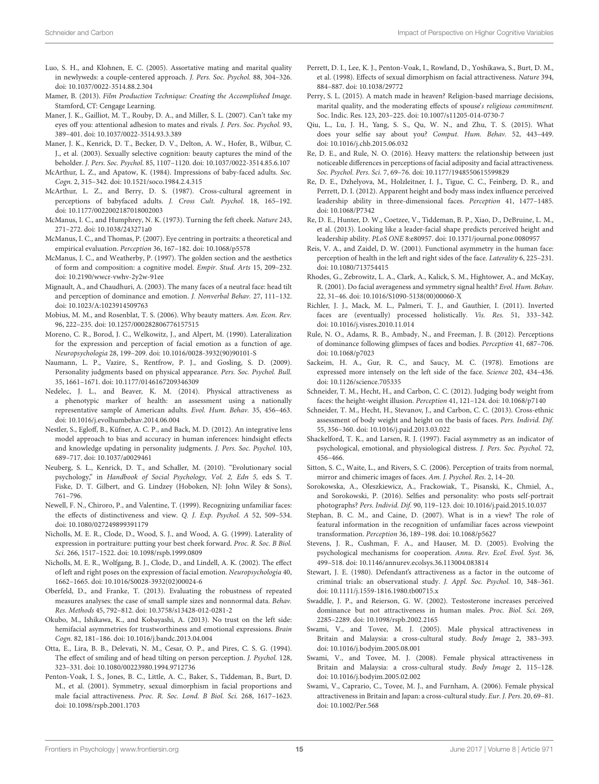- <span id="page-14-32"></span>Luo, S. H., and Klohnen, E. C. (2005). Assortative mating and marital quality in newlyweds: a couple-centered approach. J. Pers. Soc. Psychol. 88, 304–326. doi: [10.1037/0022-3514.88.2.304](https://doi.org/10.1037/0022-3514.88.2.304)
- <span id="page-14-45"></span>Mamer, B. (2013). Film Production Technique: Creating the Accomplished Image. Stamford, CT: Cengage Learning.
- <span id="page-14-7"></span>Maner, J. K., Gailliot, M. T., Rouby, D. A., and Miller, S. L. (2007). Can't take my eyes off you: attentional adhesion to mates and rivals. J. Pers. Soc. Psychol. 93, 389–401. doi: [10.1037/0022-3514.93.3.389](https://doi.org/10.1037/0022-3514.93.3.389)
- <span id="page-14-6"></span>Maner, J. K., Kenrick, D. T., Becker, D. V., Delton, A. W., Hofer, B., Wilbur, C. J., et al. (2003). Sexually selective cognition: beauty captures the mind of the beholder. J. Pers. Soc. Psychol. 85, 1107–1120. doi: [10.1037/0022-3514.85.6.107](https://doi.org/10.1037/0022-3514.85.6.107)
- <span id="page-14-12"></span>McArthur, L. Z., and Apatow, K. (1984). Impressions of baby-faced adults. Soc. Cogn. 2, 315–342. doi: [10.1521/soco.1984.2.4.315](https://doi.org/10.1521/soco.1984.2.4.315)
- <span id="page-14-13"></span>McArthur, L. Z., and Berry, D. S. (1987). Cross-cultural agreement in perceptions of babyfaced adults. J. Cross Cult. Psychol. 18, 165–192. doi: [10.1177/0022002187018002003](https://doi.org/10.1177/0022002187018002003)
- <span id="page-14-27"></span>McManus, I. C., and Humphrey, N. K. (1973). Turning the feft cheek. Nature 243, 271–272. doi: [10.1038/243271a0](https://doi.org/10.1038/243271a0)
- <span id="page-14-44"></span>McManus, I. C., and Thomas, P. (2007). Eye centring in portraits: a theoretical and empirical evaluation. Perception 36, 167–182. doi: [10.1068/p5578](https://doi.org/10.1068/p5578)
- <span id="page-14-43"></span>McManus, I. C., and Weatherby, P. (1997). The golden section and the aesthetics of form and composition: a cognitive model. Empir. Stud. Arts 15, 209–232. doi: [10.2190/wwcr-vwhv-2y2w-91ee](https://doi.org/10.2190/wwcr-vwhv-2y2w-91ee)
- <span id="page-14-17"></span>Mignault, A., and Chaudhuri, A. (2003). The many faces of a neutral face: head tilt and perception of dominance and emotion. J. Nonverbal Behav. 27, 111–132. doi: [10.1023/A:1023914509763](https://doi.org/10.1023/A:1023914509763)
- <span id="page-14-8"></span>Mobius, M. M., and Rosenblat, T. S. (2006). Why beauty matters. Am. Econ. Rev. 96, 222–235. doi: [10.1257/000282806776157515](https://doi.org/10.1257/000282806776157515)
- <span id="page-14-28"></span>Moreno, C. R., Borod, J. C., Welkowitz, J., and Alpert, M. (1990). Lateralization for the expression and perception of facial emotion as a function of age. Neuropsychologia 28, 199–209. doi: [10.1016/0028-3932\(90\)90101-S](https://doi.org/10.1016/0028-3932(90)90101-S)
- <span id="page-14-4"></span>Naumann, L. P., Vazire, S., Rentfrow, P. J., and Gosling, S. D. (2009). Personality judgments based on physical appearance. Pers. Soc. Psychol. Bull. 35, 1661–1671. doi: [10.1177/0146167209346309](https://doi.org/10.1177/0146167209346309)
- <span id="page-14-11"></span>Nedelec, J. L., and Beaver, K. M. (2014). Physical attractiveness as a phenotypic marker of health: an assessment using a nationally representative sample of American adults. Evol. Hum. Behav. 35, 456–463. doi: [10.1016/j.evolhumbehav.2014.06.004](https://doi.org/10.1016/j.evolhumbehav.2014.06.004)
- <span id="page-14-3"></span>Nestler, S., Egloff, B., Küfner, A. C. P., and Back, M. D. (2012). An integrative lens model approach to bias and accuracy in human inferences: hindsight effects and knowledge updating in personality judgments. J. Pers. Soc. Psychol. 103, 689–717. doi: [10.1037/a0029461](https://doi.org/10.1037/a0029461)
- <span id="page-14-30"></span>Neuberg, S. L., Kenrick, D. T., and Schaller, M. (2010). "Evolutionary social psychology," in Handbook of Social Psychology, Vol. 2, Edn 5, eds S. T. Fiske, D. T. Gilbert, and G. Lindzey (Hoboken, NJ: John Wiley & Sons), 761–796.
- <span id="page-14-35"></span>Newell, F. N., Chiroro, P., and Valentine, T. (1999). Recognizing unfamiliar faces: the effects of distinctiveness and view. Q. J. Exp. Psychol. A 52, 509–534. doi: [10.1080/027249899391179](https://doi.org/10.1080/027249899391179)
- <span id="page-14-39"></span>Nicholls, M. E. R., Clode, D., Wood, S. J., and Wood, A. G. (1999). Laterality of expression in portraiture: putting your best cheek forward. Proc. R. Soc. B Biol. Sci. 266, 1517–1522. doi: [10.1098/rspb.1999.0809](https://doi.org/10.1098/rspb.1999.0809)
- <span id="page-14-26"></span>Nicholls, M. E. R., Wolfgang, B. J., Clode, D., and Lindell, A. K. (2002). The effect of left and right poses on the expression of facial emotion. Neuropsychologia 40, 1662–1665. doi: [10.1016/S0028-3932\(02\)00024-6](https://doi.org/10.1016/S0028-3932(02)00024-6)
- <span id="page-14-36"></span>Oberfeld, D., and Franke, T. (2013). Evaluating the robustness of repeated measures analyses: the case of small sample sizes and nonnormal data. Behav. Res. Methods 45, 792–812. doi: [10.3758/s13428-012-0281-2](https://doi.org/10.3758/s13428-012-0281-2)
- <span id="page-14-29"></span>Okubo, M., Ishikawa, K., and Kobayashi, A. (2013). No trust on the left side: hemifacial asymmetries for trustworthiness and emotional expressions. Brain Cogn. 82, 181–186. doi: [10.1016/j.bandc.2013.04.004](https://doi.org/10.1016/j.bandc.2013.04.004)
- <span id="page-14-16"></span>Otta, E., Lira, B. B., Delevati, N. M., Cesar, O. P., and Pires, C. S. G. (1994). The effect of smiling and of head tilting on person perception. J. Psychol. 128, 323–331. doi: [10.1080/00223980.1994.9712736](https://doi.org/10.1080/00223980.1994.9712736)
- <span id="page-14-5"></span>Penton-Voak, I. S., Jones, B. C., Little, A. C., Baker, S., Tiddeman, B., Burt, D. M., et al. (2001). Symmetry, sexual dimorphism in facial proportions and male facial attractiveness. Proc. R. Soc. Lond. B Biol. Sci. 268, 1617–1623. doi: [10.1098/rspb.2001.1703](https://doi.org/10.1098/rspb.2001.1703)
- <span id="page-14-14"></span>Perrett, D. I., Lee, K. J., Penton-Voak, I., Rowland, D., Yoshikawa, S., Burt, D. M., et al. (1998). Effects of sexual dimorphism on facial attractiveness. Nature 394, 884–887. doi: [10.1038/29772](https://doi.org/10.1038/29772)
- <span id="page-14-33"></span>Perry, S. L. (2015). A match made in heaven? Religion-based marriage decisions, marital quality, and the moderating effects of spouse's religious commitment. Soc. Indic. Res. 123, 203–225. doi: [10.1007/s11205-014-0730-7](https://doi.org/10.1007/s11205-014-0730-7)
- <span id="page-14-2"></span>Qiu, L., Lu, J. H., Yang, S. S., Qu, W. N., and Zhu, T. S. (2015). What does your selfie say about you? Comput. Hum. Behav. 52, 443–449. doi: [10.1016/j.chb.2015.06.032](https://doi.org/10.1016/j.chb.2015.06.032)
- <span id="page-14-21"></span>Re, D. E., and Rule, N. O. (2016). Heavy matters: the relationship between just noticeable differences in perceptions of facial adiposity and facial attractiveness. Soc. Psychol. Pers. Sci. 7, 69–76. doi: [10.1177/1948550615599829](https://doi.org/10.1177/1948550615599829)
- <span id="page-14-37"></span>Re, D. E., Dzhelyova, M., Holzleitner, I. J., Tigue, C. C., Feinberg, D. R., and Perrett, D. I. (2012). Apparent height and body mass index influence perceived leadership ability in three-dimensional faces. Perception 41, 1477–1485. doi: [10.1068/P7342](https://doi.org/10.1068/P7342)
- <span id="page-14-38"></span>Re, D. E., Hunter, D. W., Coetzee, V., Tiddeman, B. P., Xiao, D., DeBruine, L. M., et al. (2013). Looking like a leader-facial shape predicts perceived height and leadership ability. PLoS ONE 8:e80957. doi: [10.1371/journal.pone.0080957](https://doi.org/10.1371/journal.pone.0080957)
- <span id="page-14-23"></span>Reis, V. A., and Zaidel, D. W. (2001). Functional asymmetry in the human face: perception of health in the left and right sides of the face. Laterality 6, 225–231. doi: [10.1080/713754415](https://doi.org/10.1080/713754415)
- <span id="page-14-10"></span>Rhodes, G., Zebrowitz, L. A., Clark, A., Kalick, S. M., Hightower, A., and McKay, R. (2001). Do facial averageness and symmetry signal health? Evol. Hum. Behav. 22, 31–46. doi: [10.1016/S1090-5138\(00\)00060-X](https://doi.org/10.1016/S1090-5138(00)00060-X)
- <span id="page-14-41"></span>Richler, J. J., Mack, M. L., Palmeri, T. J., and Gauthier, I. (2011). Inverted faces are (eventually) processed holistically. Vis. Res. 51, 333–342. doi: [10.1016/j.visres.2010.11.014](https://doi.org/10.1016/j.visres.2010.11.014)
- <span id="page-14-18"></span>Rule, N. O., Adams, R. B., Ambady, N., and Freeman, J. B. (2012). Perceptions of dominance following glimpses of faces and bodies. Perception 41, 687–706. doi: [10.1068/p7023](https://doi.org/10.1068/p7023)
- <span id="page-14-25"></span>Sackeim, H. A., Gur, R. C., and Saucy, M. C. (1978). Emotions are expressed more intensely on the left side of the face. Science 202, 434–436. doi: [10.1126/science.705335](https://doi.org/10.1126/science.705335)
- <span id="page-14-0"></span>Schneider, T. M., Hecht, H., and Carbon, C. C. (2012). Judging body weight from faces: the height-weight illusion. Perception 41, 121–124. doi: [10.1068/p7140](https://doi.org/10.1068/p7140)
- <span id="page-14-22"></span>Schneider, T. M., Hecht, H., Stevanov, J., and Carbon, C. C. (2013). Cross-ethnic assessment of body weight and height on the basis of faces. Pers. Individ. Dif. 55, 356–360. doi: [10.1016/j.paid.2013.03.022](https://doi.org/10.1016/j.paid.2013.03.022)
- <span id="page-14-34"></span>Shackelford, T. K., and Larsen, R. J. (1997). Facial asymmetry as an indicator of psychological, emotional, and physiological distress. J. Pers. Soc. Psychol. 72, 456–466.
- <span id="page-14-24"></span>Sitton, S. C., Waite, L., and Rivers, S. C. (2006). Perception of traits from normal, mirror and chimeric images of faces. Am. J. Psychol. Res. 2, 14–20.
- <span id="page-14-1"></span>Sorokowska, A., Oleszkiewicz, A., Frackowiak, T., Pisanski, K., Chmiel, A., and Sorokowski, P. (2016). Selfies and personality: who posts self-portrait photographs? Pers. Individ. Dif. 90, 119–123. doi: [10.1016/j.paid.2015.10.037](https://doi.org/10.1016/j.paid.2015.10.037)
- <span id="page-14-40"></span>Stephan, B. C. M., and Caine, D. (2007). What is in a view? The role of featural information in the recognition of unfamiliar faces across viewpoint transformation. Perception 36, 189–198. doi: [10.1068/p5627](https://doi.org/10.1068/p5627)
- <span id="page-14-31"></span>Stevens, J. R., Cushman, F. A., and Hauser, M. D. (2005). Evolving the psychological mechanisms for cooperation. Annu. Rev. Ecol. Evol. Syst. 36, 499–518. doi: [10.1146/annurev.ecolsys.36.113004.083814](https://doi.org/10.1146/annurev.ecolsys.36.113004.083814)
- <span id="page-14-9"></span>Stewart, J. E. (1980). Defendant's attractiveness as a factor in the outcome of criminal trials: an observational study. J. Appl. Soc. Psychol. 10, 348–361. doi: [10.1111/j.1559-1816.1980.tb00715.x](https://doi.org/10.1111/j.1559-1816.1980.tb00715.x)
- <span id="page-14-15"></span>Swaddle, J. P., and Reierson, G. W. (2002). Testosterone increases perceived dominance but not attractiveness in human males. Proc. Biol. Sci. 269, 2285–2289. doi: [10.1098/rspb.2002.2165](https://doi.org/10.1098/rspb.2002.2165)
- <span id="page-14-19"></span>Swami, V., and Tovee, M. J. (2005). Male physical attractiveness in Britain and Malaysia: a cross-cultural study. Body Image 2, 383–393. doi: [10.1016/j.bodyim.2005.08.001](https://doi.org/10.1016/j.bodyim.2005.08.001)
- <span id="page-14-20"></span>Swami, V., and Tovee, M. J. (2008). Female physical attractiveness in Britain and Malaysia: a cross-cultural study. Body Image 2, 115–128. doi: [10.1016/j.bodyim.2005.02.002](https://doi.org/10.1016/j.bodyim.2005.02.002)
- <span id="page-14-42"></span>Swami, V., Caprario, C., Tovee, M. J., and Furnham, A. (2006). Female physical attractiveness in Britain and Japan: a cross-cultural study. Eur. J. Pers. 20, 69–81. doi: [10.1002/Per.568](https://doi.org/10.1002/Per.568)